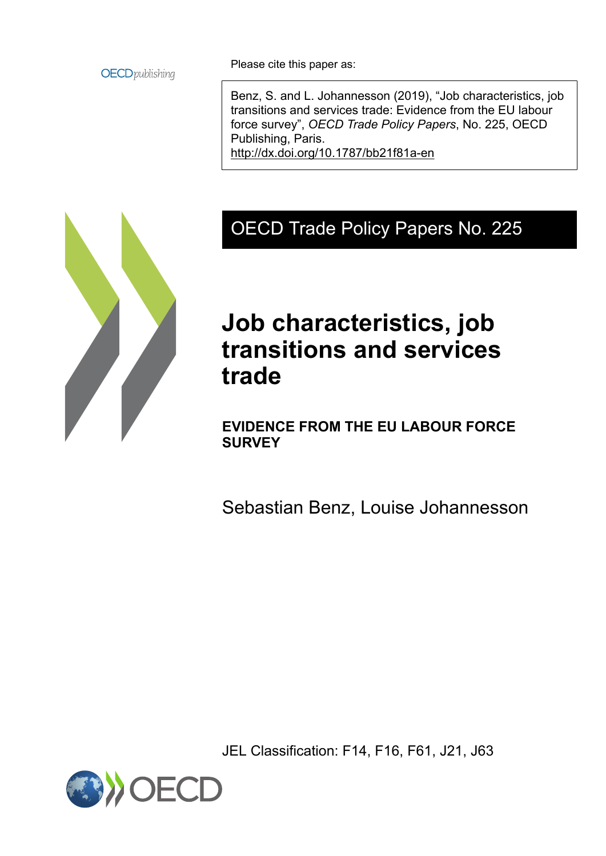

Please cite this paper as:

Benz, S. and L. Johannesson (2019), "Job characteristics, job transitions and services trade: Evidence from the EU labour force survey", *OECD Trade Policy Papers*, No. 225, OECD Publishing, Paris. <http://dx.doi.org/10.1787/bb21f81a-en>

# OECD Trade Policy Papers No. 225

# **Job characteristics, job transitions and services trade**

**EVIDENCE FROM THE EU LABOUR FORCE SURVEY**

Sebastian Benz, Louise Johannesson

JEL Classification: F14, F16, F61, J21, J63

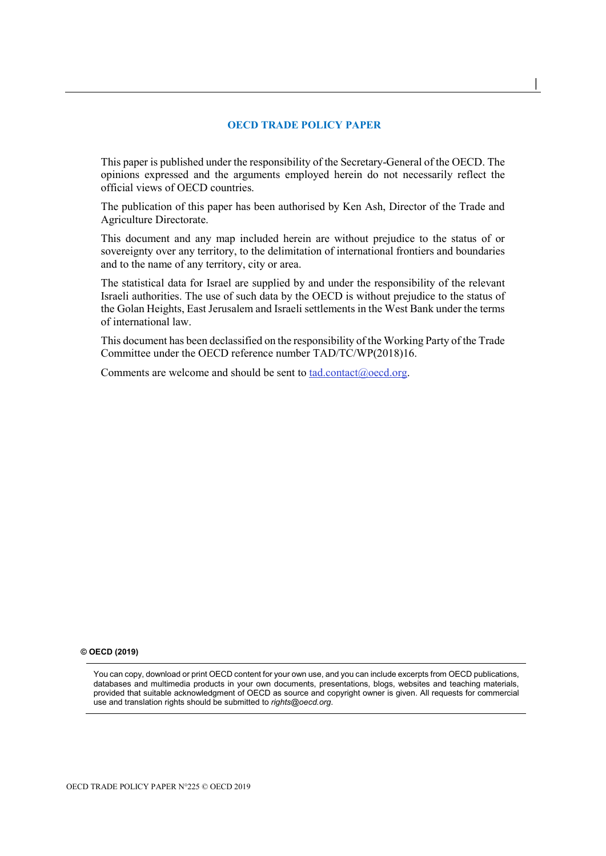#### **OECD TRADE POLICY PAPER**

**│** 

This paper is published under the responsibility of the Secretary-General of the OECD. The opinions expressed and the arguments employed herein do not necessarily reflect the official views of OECD countries.

The publication of this paper has been authorised by Ken Ash, Director of the Trade and Agriculture Directorate.

This document and any map included herein are without prejudice to the status of or sovereignty over any territory, to the delimitation of international frontiers and boundaries and to the name of any territory, city or area.

The statistical data for Israel are supplied by and under the responsibility of the relevant Israeli authorities. The use of such data by the OECD is without prejudice to the status of the Golan Heights, East Jerusalem and Israeli settlements in the West Bank under the terms of international law.

This document has been declassified on the responsibility of the Working Party of the Trade Committee under the OECD reference number TAD/TC/WP(2018)16.

Comments are welcome and should be sent to [tad.contact@oecd.org.](file://main.oecd.org/sdataTAD/Applic/PUBLICATIONS/Working%20and%20Policy%20Papers/tad.contact@oecd.org)

#### **© OECD (2019)**

You can copy, download or print OECD content for your own use, and you can include excerpts from OECD publications, databases and multimedia products in your own documents, presentations, blogs, websites and teaching materials, provided that suitable acknowledgment of OECD as source and copyright owner is given. All requests for commercial use and translation rights should be submitted to *rights@oecd.org*.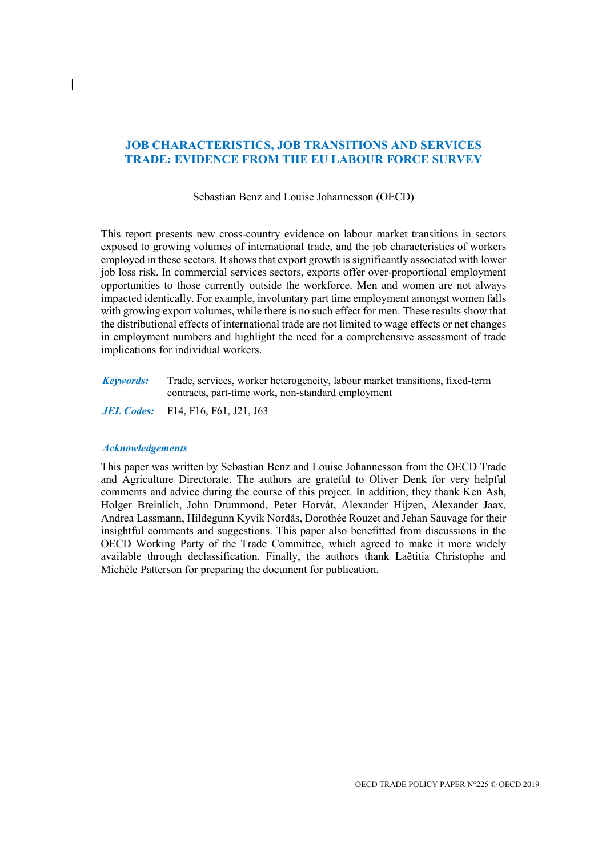# **JOB CHARACTERISTICS, JOB TRANSITIONS AND SERVICES TRADE: EVIDENCE FROM THE EU LABOUR FORCE SURVEY**

Sebastian Benz and Louise Johannesson (OECD)

This report presents new cross-country evidence on labour market transitions in sectors exposed to growing volumes of international trade, and the job characteristics of workers employed in these sectors. It shows that export growth is significantly associated with lower job loss risk. In commercial services sectors, exports offer over-proportional employment opportunities to those currently outside the workforce. Men and women are not always impacted identically. For example, involuntary part time employment amongst women falls with growing export volumes, while there is no such effect for men. These results show that the distributional effects of international trade are not limited to wage effects or net changes in employment numbers and highlight the need for a comprehensive assessment of trade implications for individual workers.

*Keywords:* Trade, services, worker heterogeneity, labour market transitions, fixed-term contracts, part-time work, non-standard employment

*JEL Codes:* F14, F16, F61, J21, J63

#### *Acknowledgements*

**│** 

This paper was written by Sebastian Benz and Louise Johannesson from the OECD Trade and Agriculture Directorate. The authors are grateful to Oliver Denk for very helpful comments and advice during the course of this project. In addition, they thank Ken Ash, Holger Breinlich, John Drummond, Peter Horvát, Alexander Hijzen, Alexander Jaax, Andrea Lassmann, Hildegunn Kyvik Nordås, Dorothée Rouzet and Jehan Sauvage for their insightful comments and suggestions. This paper also benefitted from discussions in the OECD Working Party of the Trade Committee, which agreed to make it more widely available through declassification. Finally, the authors thank Laëtitia Christophe and Michèle Patterson for preparing the document for publication.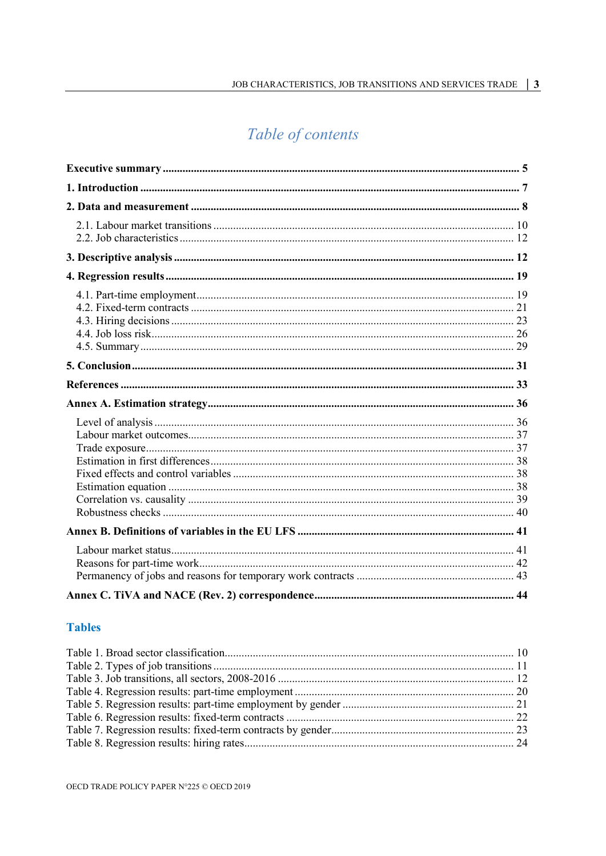# Table of contents

# **Tables**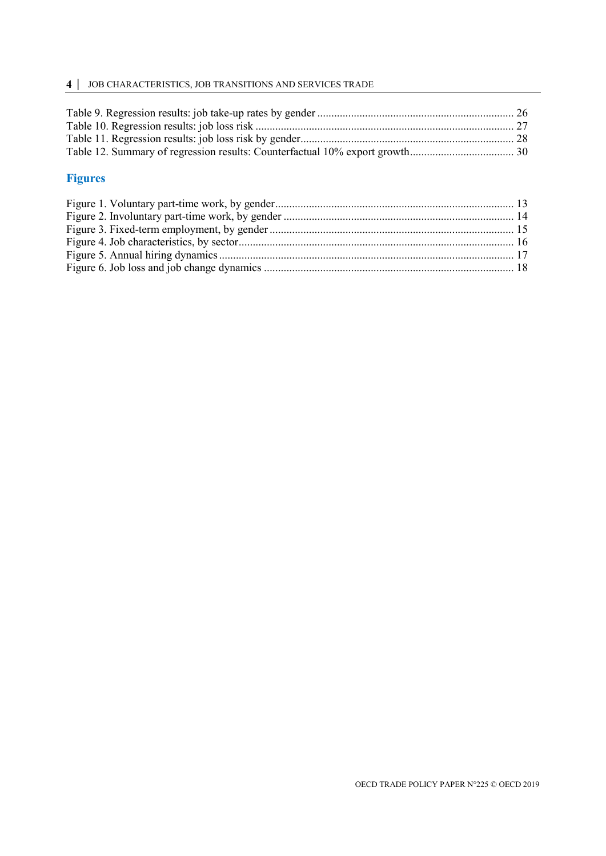# **4 │** JOB CHARACTERISTICS, JOB TRANSITIONS AND SERVICES TRADE

# **Figures**

<span id="page-4-0"></span>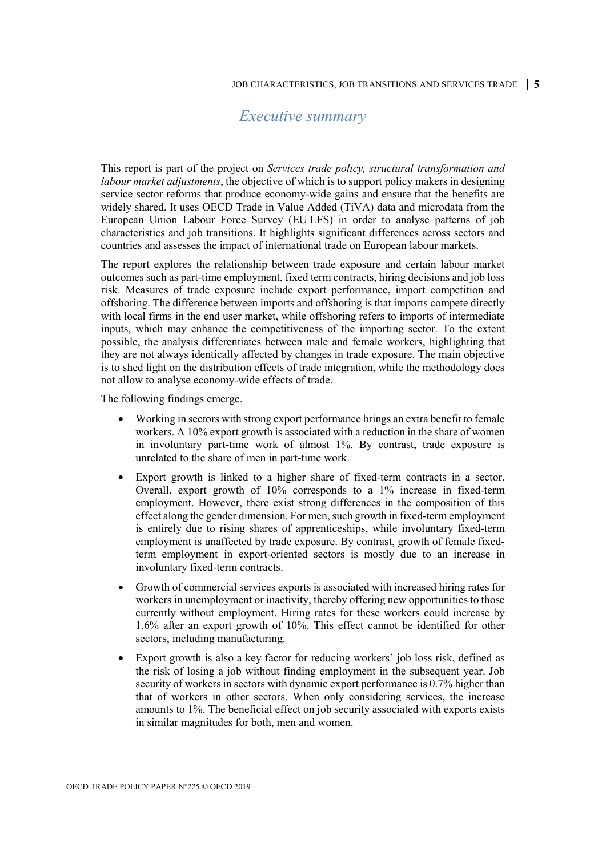# *Executive summary*

This report is part of the project on *Services trade policy, structural transformation and labour market adjustments*, the objective of which is to support policy makers in designing service sector reforms that produce economy-wide gains and ensure that the benefits are widely shared. It uses OECD Trade in Value Added (TiVA) data and microdata from the European Union Labour Force Survey (EU LFS) in order to analyse patterns of job characteristics and job transitions. It highlights significant differences across sectors and countries and assesses the impact of international trade on European labour markets.

The report explores the relationship between trade exposure and certain labour market outcomes such as part-time employment, fixed term contracts, hiring decisions and job loss risk. Measures of trade exposure include export performance, import competition and offshoring. The difference between imports and offshoring is that imports compete directly with local firms in the end user market, while offshoring refers to imports of intermediate inputs, which may enhance the competitiveness of the importing sector. To the extent possible, the analysis differentiates between male and female workers, highlighting that they are not always identically affected by changes in trade exposure. The main objective is to shed light on the distribution effects of trade integration, while the methodology does not allow to analyse economy-wide effects of trade.

The following findings emerge.

- Working in sectors with strong export performance brings an extra benefit to female workers. A 10% export growth is associated with a reduction in the share of women in involuntary part-time work of almost 1%. By contrast, trade exposure is unrelated to the share of men in part-time work.
- Export growth is linked to a higher share of fixed-term contracts in a sector. Overall, export growth of 10% corresponds to a 1% increase in fixed-term employment. However, there exist strong differences in the composition of this effect along the gender dimension. For men, such growth in fixed-term employment is entirely due to rising shares of apprenticeships, while involuntary fixed-term employment is unaffected by trade exposure. By contrast, growth of female fixedterm employment in export-oriented sectors is mostly due to an increase in involuntary fixed-term contracts.
- Growth of commercial services exports is associated with increased hiring rates for workers in unemployment or inactivity, thereby offering new opportunities to those currently without employment. Hiring rates for these workers could increase by 1.6% after an export growth of 10%. This effect cannot be identified for other sectors, including manufacturing.
- Export growth is also a key factor for reducing workers' job loss risk, defined as the risk of losing a job without finding employment in the subsequent year. Job security of workers in sectors with dynamic export performance is 0.7% higher than that of workers in other sectors. When only considering services, the increase amounts to 1%. The beneficial effect on job security associated with exports exists in similar magnitudes for both, men and women.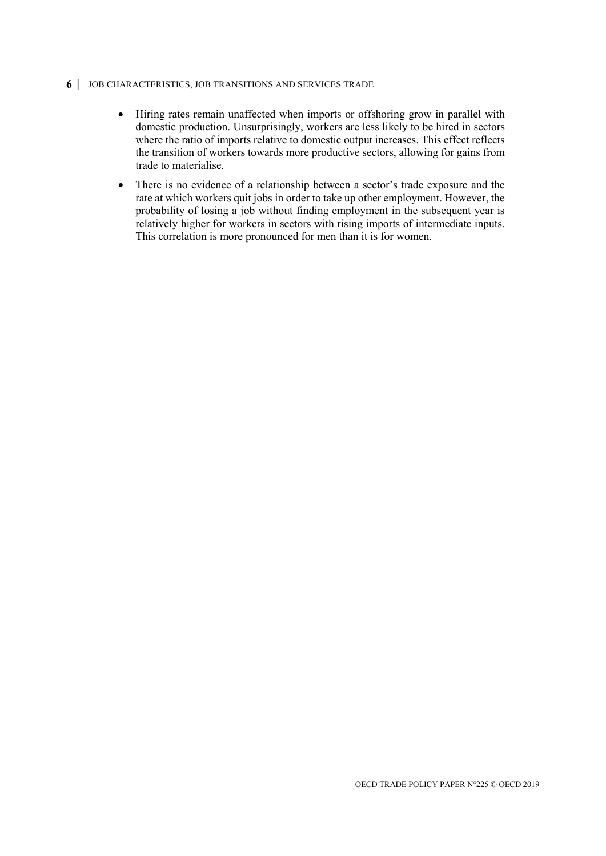#### **6 │** JOB CHARACTERISTICS, JOB TRANSITIONS AND SERVICES TRADE

- Hiring rates remain unaffected when imports or offshoring grow in parallel with domestic production. Unsurprisingly, workers are less likely to be hired in sectors where the ratio of imports relative to domestic output increases. This effect reflects the transition of workers towards more productive sectors, allowing for gains from trade to materialise.
- There is no evidence of a relationship between a sector's trade exposure and the rate at which workers quit jobs in order to take up other employment. However, the probability of losing a job without finding employment in the subsequent year is relatively higher for workers in sectors with rising imports of intermediate inputs. This correlation is more pronounced for men than it is for women.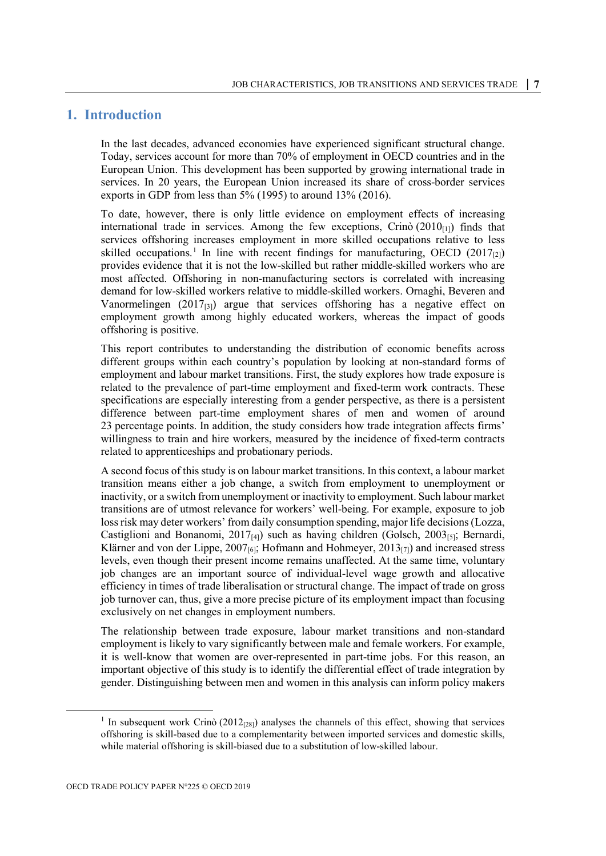# <span id="page-7-0"></span>**1. Introduction**

In the last decades, advanced economies have experienced significant structural change. Today, services account for more than 70% of employment in OECD countries and in the European Union. This development has been supported by growing international trade in services. In 20 years, the European Union increased its share of cross-border services exports in GDP from less than  $5\%$  (1995) to around 13% (2016).

To date, however, there is only little evidence on employment effects of increasing international trade in services. Among the few exceptions, Crinò  $(2010<sub>[1]</sub>)$  finds that services offshoring increases employment in more skilled occupations relative to less skilled occupations.<sup>[1](#page-7-1)</sup> In line with recent findings for manufacturing, OECD (2017<sub>[2]</sub>) provides evidence that it is not the low-skilled but rather middle-skilled workers who are most affected. Offshoring in non-manufacturing sectors is correlated with increasing demand for low-skilled workers relative to middle-skilled workers. Ornaghi, Beveren and Vanormelingen  $(2017_{[3]})$  argue that services offshoring has a negative effect on employment growth among highly educated workers, whereas the impact of goods offshoring is positive.

This report contributes to understanding the distribution of economic benefits across different groups within each country's population by looking at non-standard forms of employment and labour market transitions. First, the study explores how trade exposure is related to the prevalence of part-time employment and fixed-term work contracts. These specifications are especially interesting from a gender perspective, as there is a persistent difference between part-time employment shares of men and women of around 23 percentage points. In addition, the study considers how trade integration affects firms' willingness to train and hire workers, measured by the incidence of fixed-term contracts related to apprenticeships and probationary periods.

A second focus of this study is on labour market transitions. In this context, a labour market transition means either a job change, a switch from employment to unemployment or inactivity, or a switch from unemployment or inactivity to employment. Such labour market transitions are of utmost relevance for workers' well-being. For example, exposure to job loss risk may deter workers' from daily consumption spending, major life decisions(Lozza, Castiglioni and Bonanomi,  $2017_{[4]}$ ) such as having children (Golsch,  $2003_{[5]}$ ; Bernardi, Klärner and von der Lippe, 2007 $_{[6]}$ ; Hofmann and Hohmeyer, 2013 $_{[7]}$ ) and increased stress levels, even though their present income remains unaffected. At the same time, voluntary job changes are an important source of individual-level wage growth and allocative efficiency in times of trade liberalisation or structural change. The impact of trade on gross job turnover can, thus, give a more precise picture of its employment impact than focusing exclusively on net changes in employment numbers.

The relationship between trade exposure, labour market transitions and non-standard employment is likely to vary significantly between male and female workers. For example, it is well-know that women are over-represented in part-time jobs. For this reason, an important objective of this study is to identify the differential effect of trade integration by gender. Distinguishing between men and women in this analysis can inform policy makers

<span id="page-7-1"></span><sup>&</sup>lt;sup>1</sup> In subsequent work Crinò (2012<sub>[28]</sub>) analyses the channels of this effect, showing that services offshoring is skill-based due to a complementarity between imported services and domestic skills, while material offshoring is skill-biased due to a substitution of low-skilled labour.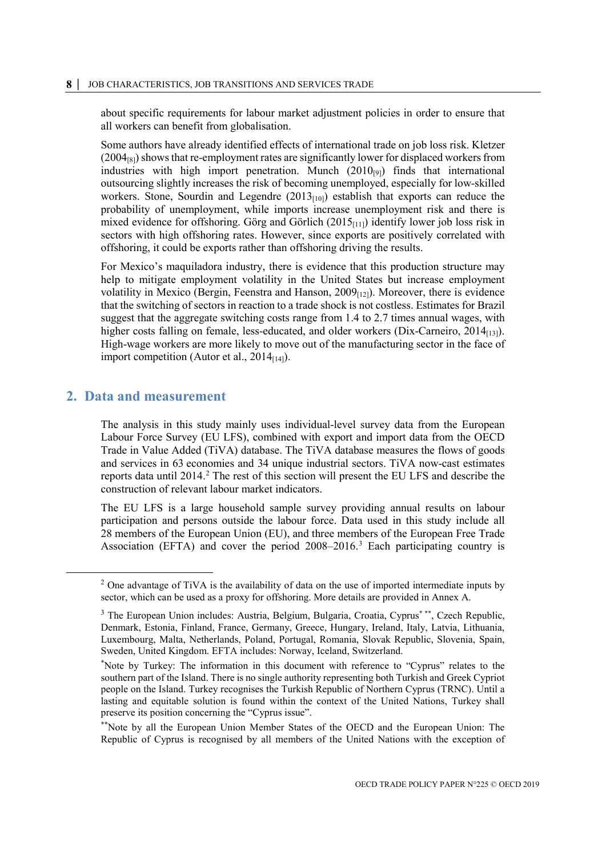about specific requirements for labour market adjustment policies in order to ensure that all workers can benefit from globalisation.

Some authors have already identified effects of international trade on job loss risk. Kletzer  $(2004_{[8]})$  shows that re-employment rates are significantly lower for displaced workers from industries with high import penetration. Munch  $(2010_{[9]})$  finds that international outsourcing slightly increases the risk of becoming unemployed, especially for low-skilled workers. Stone, Sourdin and Legendre  $(2013<sub>[10]</sub>)$  establish that exports can reduce the probability of unemployment, while imports increase unemployment risk and there is mixed evidence for offshoring. Görg and Görlich  $(2015<sub>[111]</sub>)$  identify lower job loss risk in sectors with high offshoring rates. However, since exports are positively correlated with offshoring, it could be exports rather than offshoring driving the results.

For Mexico's maquiladora industry, there is evidence that this production structure may help to mitigate employment volatility in the United States but increase employment volatility in Mexico (Bergin, Feenstra and Hanson, 2009<sub>[12]</sub>). Moreover, there is evidence that the switching of sectors in reaction to a trade shock is not costless. Estimates for Brazil suggest that the aggregate switching costs range from 1.4 to 2.7 times annual wages, with higher costs falling on female, less-educated, and older workers (Dix-Carneiro,  $2014_{[13]}$ ). High-wage workers are more likely to move out of the manufacturing sector in the face of import competition (Autor et al.,  $2014_{[14]}$ ).

# <span id="page-8-0"></span>**2. Data and measurement**

The analysis in this study mainly uses individual-level survey data from the European Labour Force Survey (EU LFS), combined with export and import data from the OECD Trade in Value Added (TiVA) database. The TiVA database measures the flows of goods and services in 63 economies and 34 unique industrial sectors. TiVA now-cast estimates reports data until  $2014<sup>2</sup>$ . The rest of this section will present the EU LFS and describe the construction of relevant labour market indicators.

The EU LFS is a large household sample survey providing annual results on labour participation and persons outside the labour force. Data used in this study include all 28 members of the European Union (EU), and three members of the European Free Trade Association (EFTA) and cover the period 2008–2016. [3](#page-8-2) Each participating country is

<span id="page-8-1"></span><sup>&</sup>lt;sup>2</sup> One advantage of TiVA is the availability of data on the use of imported intermediate inputs by sector, which can be used as a proxy for offshoring. More details are provided in [Annex A.](#page-36-0)

<span id="page-8-2"></span><sup>&</sup>lt;sup>3</sup> The European Union includes: Austria, Belgium, Bulgaria, Croatia, Cyprus<sup>\*\*\*</sup>, Czech Republic, Denmark, Estonia, Finland, France, Germany, Greece, Hungary, Ireland, Italy, Latvia, Lithuania, Luxembourg, Malta, Netherlands, Poland, Portugal, Romania, Slovak Republic, Slovenia, Spain, Sweden, United Kingdom. EFTA includes: Norway, Iceland, Switzerland.

<sup>\*</sup> Note by Turkey: The information in this document with reference to "Cyprus" relates to the southern part of the Island. There is no single authority representing both Turkish and Greek Cypriot people on the Island. Turkey recognises the Turkish Republic of Northern Cyprus (TRNC). Until a lasting and equitable solution is found within the context of the United Nations, Turkey shall preserve its position concerning the "Cyprus issue".

<sup>\*\*</sup>Note by all the European Union Member States of the OECD and the European Union: The Republic of Cyprus is recognised by all members of the United Nations with the exception of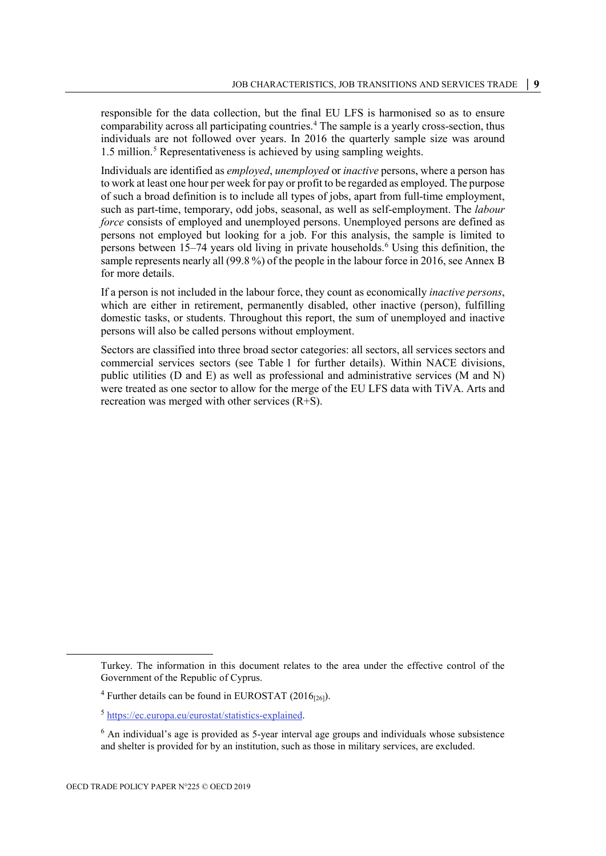responsible for the data collection, but the final EU LFS is harmonised so as to ensure comparability across all participating countries. [4](#page-9-0) The sample is a yearly cross-section, thus individuals are not followed over years. In 2016 the quarterly sample size was around 1.5 million. [5](#page-9-1) Representativeness is achieved by using sampling weights.

Individuals are identified as *employed*, *unemployed* or *inactive* persons, where a person has to work at least one hour per week for pay or profit to be regarded as employed. The purpose of such a broad definition is to include all types of jobs, apart from full-time employment, such as part-time, temporary, odd jobs, seasonal, as well as self-employment. The *labour force* consists of employed and unemployed persons. Unemployed persons are defined as persons not employed but looking for a job. For this analysis, the sample is limited to persons between 15–74 years old living in private households.<sup>[6](#page-9-2)</sup> Using this definition, the sample represents nearly all (99.8 %) of the people in the labour force in 2016, se[e Annex](#page-41-0) B for more details.

If a person is not included in the labour force, they count as economically *inactive persons*, which are either in retirement, permanently disabled, other inactive (person), fulfilling domestic tasks, or students. Throughout this report, the sum of unemployed and inactive persons will also be called persons without employment.

Sectors are classified into three broad sector categories: all sectors, all services sectors and commercial services sectors (see [Table](#page-10-1) 1 for further details). Within NACE divisions, public utilities (D and E) as well as professional and administrative services (M and N) were treated as one sector to allow for the merge of the EU LFS data with TiVA. Arts and recreation was merged with other services (R+S).

<span id="page-9-1"></span><span id="page-9-0"></span>1

Turkey. The information in this document relates to the area under the effective control of the Government of the Republic of Cyprus.

 $4$  Further details can be found in EUROSTAT (2016 $_{[26]}$ ).

<sup>5</sup> [https://ec.europa.eu/eurostat/statistics-explained.](https://ec.europa.eu/eurostat/statistics-explained) 

<span id="page-9-2"></span> $6$  An individual's age is provided as 5-year interval age groups and individuals whose subsistence and shelter is provided for by an institution, such as those in military services, are excluded.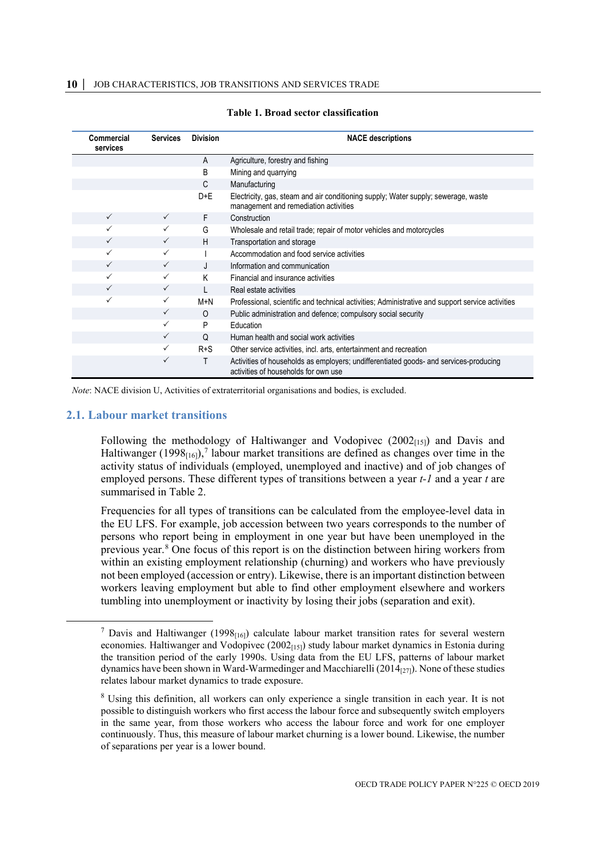<span id="page-10-1"></span>

| <b>Commercial</b><br>services | <b>Services</b> | <b>Division</b> | <b>NACE descriptions</b>                                                                                                      |
|-------------------------------|-----------------|-----------------|-------------------------------------------------------------------------------------------------------------------------------|
|                               |                 | A               | Agriculture, forestry and fishing                                                                                             |
|                               |                 | B               | Mining and quarrying                                                                                                          |
|                               |                 | C               | Manufacturing                                                                                                                 |
|                               |                 | $D+E$           | Electricity, gas, steam and air conditioning supply; Water supply; sewerage, waste<br>management and remediation activities   |
| $\checkmark$                  | $\checkmark$    | F.              | Construction                                                                                                                  |
| ✓                             |                 | G               | Wholesale and retail trade; repair of motor vehicles and motorcycles                                                          |
| $\checkmark$                  |                 | H.              | Transportation and storage                                                                                                    |
| $\checkmark$                  |                 |                 | Accommodation and food service activities                                                                                     |
| $\checkmark$                  | ✓               |                 | Information and communication                                                                                                 |
| $\checkmark$                  |                 | K               | Financial and insurance activities                                                                                            |
| $\checkmark$                  | $\checkmark$    |                 | Real estate activities                                                                                                        |
| $\checkmark$                  |                 | M+N             | Professional, scientific and technical activities; Administrative and support service activities                              |
|                               | $\checkmark$    | $\Omega$        | Public administration and defence; compulsory social security                                                                 |
|                               | ✓               | P               | Education                                                                                                                     |
|                               | ✓               | $\Omega$        | Human health and social work activities                                                                                       |
|                               |                 | $R + S$         | Other service activities, incl. arts, entertainment and recreation                                                            |
|                               | ✓               | Τ               | Activities of households as employers; undifferentiated goods- and services-producing<br>activities of households for own use |

#### **Table 1. Broad sector classification**

*Note*: NACE division U, Activities of extraterritorial organisations and bodies, is excluded.

#### <span id="page-10-0"></span>**2.1. Labour market transitions**

Following the methodology of Haltiwanger and Vodopivec  $(2002_{[15]})$  and Davis and Haltiwanger (1998<sub>[16]</sub>),<sup>[7](#page-10-2)</sup> labour market transitions are defined as changes over time in the activity status of individuals (employed, unemployed and inactive) and of job changes of employed persons. These different types of transitions between a year *t-1* and a year *t* are summarised in [Table](#page-11-0) 2.

Frequencies for all types of transitions can be calculated from the employee-level data in the EU LFS. For example, job accession between two years corresponds to the number of persons who report being in employment in one year but have been unemployed in the previous year.[8](#page-10-3) One focus of this report is on the distinction between hiring workers from within an existing employment relationship (churning) and workers who have previously not been employed (accession or entry). Likewise, there is an important distinction between workers leaving employment but able to find other employment elsewhere and workers tumbling into unemployment or inactivity by losing their jobs (separation and exit).

<span id="page-10-2"></span><sup>&</sup>lt;sup>7</sup> Davis and Haltiwanger (1998 $_{[16]}$ ) calculate labour market transition rates for several western economies. Haltiwanger and Vodopivec  $(2002<sub>[15]</sub>)$  study labour market dynamics in Estonia during the transition period of the early 1990s. Using data from the EU LFS, patterns of labour market dynamics have been shown in Ward-Warmedinger and Macchiarelli (2014 $_{[27]}$ ). None of these studies relates labour market dynamics to trade exposure.

<span id="page-10-3"></span><sup>8</sup> Using this definition, all workers can only experience a single transition in each year. It is not possible to distinguish workers who first access the labour force and subsequently switch employers in the same year, from those workers who access the labour force and work for one employer continuously. Thus, this measure of labour market churning is a lower bound. Likewise, the number of separations per year is a lower bound.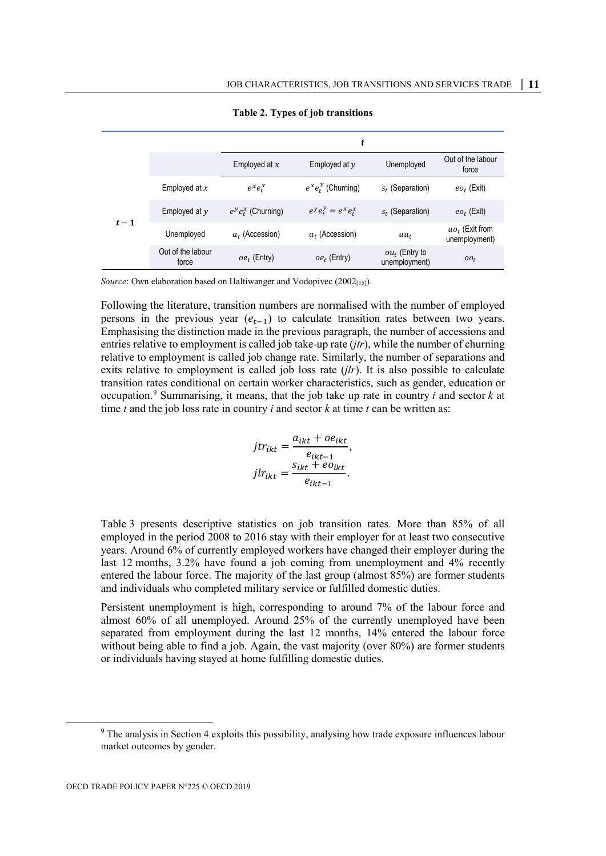<span id="page-11-0"></span>

|       |                            |                        | t                       |                                   |                                    |
|-------|----------------------------|------------------------|-------------------------|-----------------------------------|------------------------------------|
|       |                            | Employed at $x$        | Employed at $y$         | Unemployed                        | Out of the labour<br>force         |
|       | Employed at $x$            | $e^x e_t^x$            | $e^x e_t^y$ (Churning)  | $s_t$ (Separation)                | $eo_t$ (Exit)                      |
| $t-1$ | Employed at $y$            | $e^y e_t^x$ (Churning) | $e^y e_t^y = e^x e_t^x$ | $s_t$ (Separation)                | $eo_t$ (Exit)                      |
|       | Unemployed                 | $a_t$ (Accession)      | $a_t$ (Accession)       | $uu_t$                            | $uo_t$ (Exit from<br>unemployment) |
|       | Out of the labour<br>force | $oe_t$ (Entry)         | $oe_t$ (Entry)          | $ou_t$ (Entry to<br>unemployment) | $oo_t$                             |

**Table 2. Types of job transitions**

*Source*: Own elaboration based on Haltiwanger and Vodopivec (2002[15]).

Following the literature, transition numbers are normalised with the number of employed persons in the previous year  $(e_{t-1})$  to calculate transition rates between two years. Emphasising the distinction made in the previous paragraph, the number of accessions and entries relative to employment is called job take-up rate (*jtr*), while the number of churning relative to employment is called job change rate. Similarly, the number of separations and exits relative to employment is called job loss rate (*jlr*). It is also possible to calculate transition rates conditional on certain worker characteristics, such as gender, education or occupation.<sup>[9](#page-11-1)</sup> Summarising, it means, that the job take up rate in country *i* and sector  $k$  at time *t* and the job loss rate in country *i* and sector *k* at time *t* can be written as:

$$
jtr_{ikt} = \frac{a_{ikt} + oe_{ikt}}{e_{ikt-1}},
$$

$$
jlr_{ikt} = \frac{s_{ikt} + eo_{ikt}}{e_{ikt-1}}.
$$

[Table](#page-12-2) 3 presents descriptive statistics on job transition rates. More than 85% of all employed in the period 2008 to 2016 stay with their employer for at least two consecutive years. Around 6% of currently employed workers have changed their employer during the last 12 months, 3.2% have found a job coming from unemployment and 4% recently entered the labour force. The majority of the last group (almost 85%) are former students and individuals who completed military service or fulfilled domestic duties.

Persistent unemployment is high, corresponding to around 7% of the labour force and almost 60% of all unemployed. Around 25% of the currently unemployed have been separated from employment during the last 12 months, 14% entered the labour force without being able to find a job. Again, the vast majority (over 80%) are former students or individuals having stayed at home fulfilling domestic duties.

<span id="page-11-1"></span> <sup>9</sup> The analysis in Section [4](#page-19-0) exploits this possibility, analysing how trade exposure influences labour market outcomes by gender.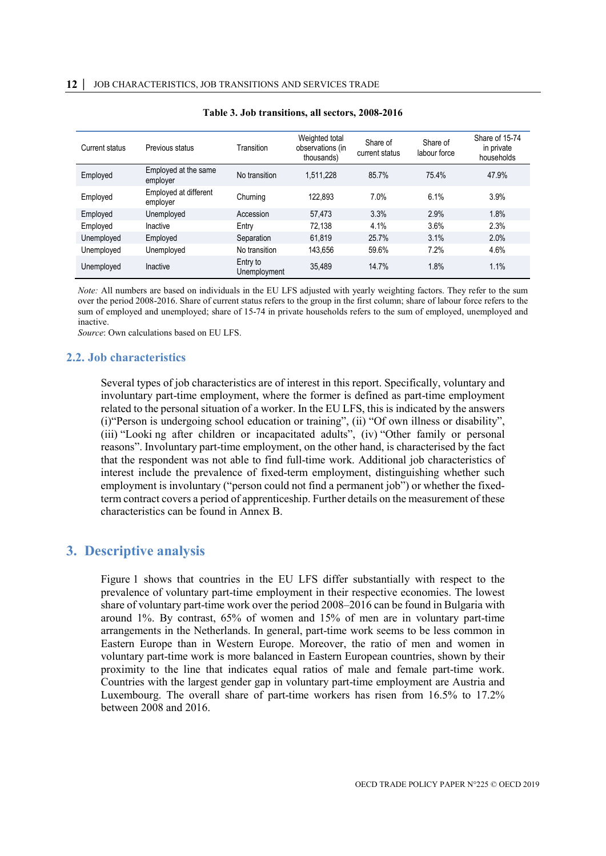<span id="page-12-2"></span>

| Current status | Previous status                   | Transition               | Weighted total<br>observations (in<br>thousands) | Share of<br>current status | Share of<br>labour force | Share of 15-74<br>in private<br>households |
|----------------|-----------------------------------|--------------------------|--------------------------------------------------|----------------------------|--------------------------|--------------------------------------------|
| Employed       | Employed at the same<br>employer  | No transition            | 1.511.228                                        | 85.7%                      | 75.4%                    | 47.9%                                      |
| Employed       | Employed at different<br>employer | Churning                 | 122.893                                          | 7.0%                       | 6.1%                     | 3.9%                                       |
| Employed       | Unemployed                        | Accession                | 57.473                                           | 3.3%                       | 2.9%                     | 1.8%                                       |
| Employed       | Inactive                          | Entry                    | 72.138                                           | 4.1%                       | 3.6%                     | 2.3%                                       |
| Unemployed     | Employed                          | Separation               | 61.819                                           | 25.7%                      | 3.1%                     | 2.0%                                       |
| Unemployed     | Unemployed                        | No transition            | 143,656                                          | 59.6%                      | 7.2%                     | 4.6%                                       |
| Unemployed     | Inactive                          | Entry to<br>Unemployment | 35,489                                           | 14.7%                      | 1.8%                     | 1.1%                                       |

| Table 3. Job transitions, all sectors, 2008-2016 |  |  |  |
|--------------------------------------------------|--|--|--|
|--------------------------------------------------|--|--|--|

*Note:* All numbers are based on individuals in the EU LFS adjusted with yearly weighting factors. They refer to the sum over the period 2008-2016. Share of current status refers to the group in the first column; share of labour force refers to the sum of employed and unemployed; share of 15-74 in private households refers to the sum of employed, unemployed and inactive.

*Source*: Own calculations based on EU LFS.

#### <span id="page-12-0"></span>**2.2. Job characteristics**

Several types of job characteristics are of interest in this report. Specifically, voluntary and involuntary part-time employment, where the former is defined as part-time employment related to the personal situation of a worker. In the EU LFS, this is indicated by the answers (i)"Person is undergoing school education or training", (ii) "Of own illness or disability", (iii) "Looki ng after children or incapacitated adults", (iv) "Other family or personal reasons". Involuntary part-time employment, on the other hand, is characterised by the fact that the respondent was not able to find full-time work. Additional job characteristics of interest include the prevalence of fixed-term employment, distinguishing whether such employment is involuntary ("person could not find a permanent job") or whether the fixedterm contract covers a period of apprenticeship. Further details on the measurement of these characteristics can be found i[n Annex B.](#page-41-0)

# <span id="page-12-1"></span>**3. Descriptive analysis**

[Figure](#page-13-0) 1 shows that countries in the EU LFS differ substantially with respect to the prevalence of voluntary part-time employment in their respective economies. The lowest share of voluntary part-time work over the period 2008–2016 can be found in Bulgaria with around 1%. By contrast, 65% of women and 15% of men are in voluntary part-time arrangements in the Netherlands. In general, part-time work seems to be less common in Eastern Europe than in Western Europe. Moreover, the ratio of men and women in voluntary part-time work is more balanced in Eastern European countries, shown by their proximity to the line that indicates equal ratios of male and female part-time work. Countries with the largest gender gap in voluntary part-time employment are Austria and Luxembourg. The overall share of part-time workers has risen from 16.5% to 17.2% between 2008 and 2016.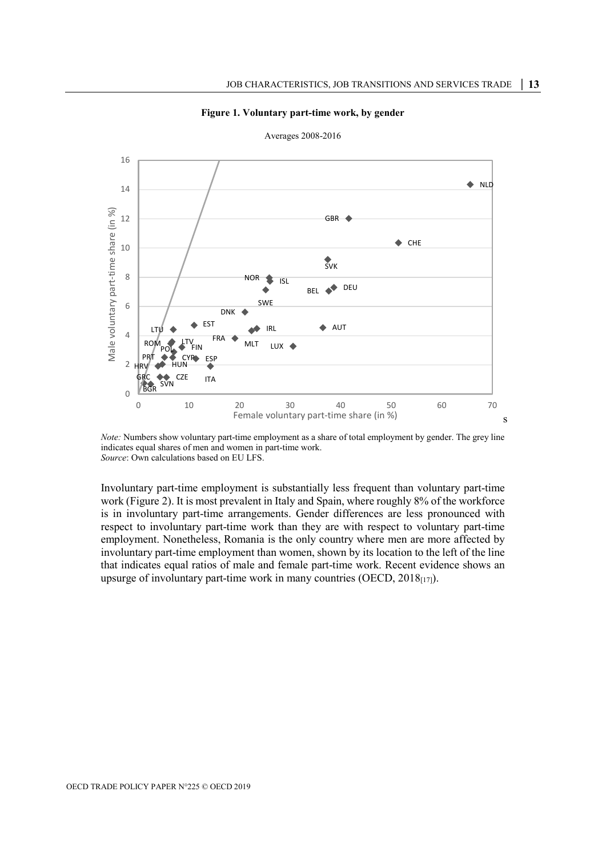

<span id="page-13-0"></span>

Averages 2008-2016

*Note:* Numbers show voluntary part-time employment as a share of total employment by gender. The grey line indicates equal shares of men and women in part-time work. *Source*: Own calculations based on EU LFS.

Involuntary part-time employment is substantially less frequent than voluntary part-time work [\(Figure](#page-14-0) 2). It is most prevalent in Italy and Spain, where roughly 8% of the workforce is in involuntary part-time arrangements. Gender differences are less pronounced with respect to involuntary part-time work than they are with respect to voluntary part-time employment. Nonetheless, Romania is the only country where men are more affected by involuntary part-time employment than women, shown by its location to the left of the line that indicates equal ratios of male and female part-time work. Recent evidence shows an upsurge of involuntary part-time work in many countries (OECD,  $2018_{[17]}$ ).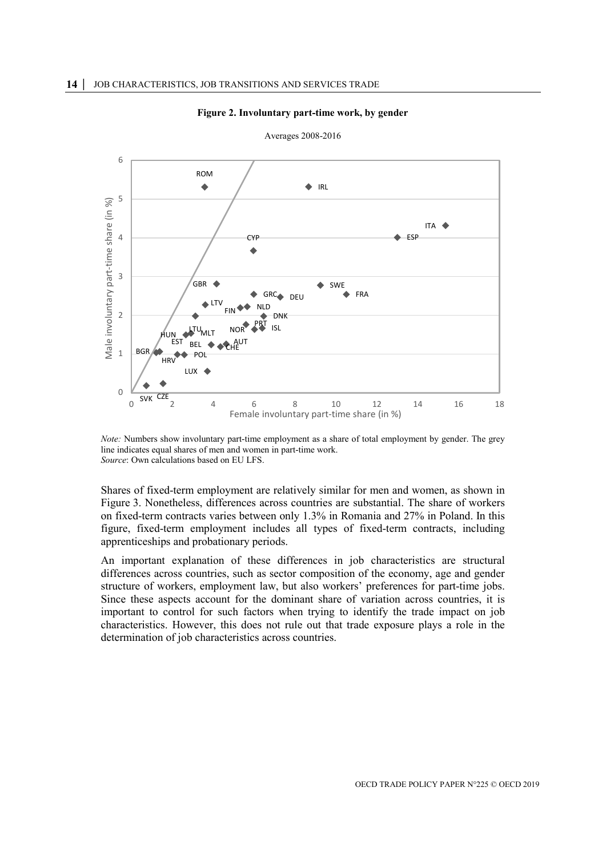<span id="page-14-0"></span>

#### **Figure 2. Involuntary part-time work, by gender**

Averages 2008-2016

*Note:* Numbers show involuntary part-time employment as a share of total employment by gender. The grey line indicates equal shares of men and women in part-time work. *Source*: Own calculations based on EU LFS.

Shares of fixed-term employment are relatively similar for men and women, as shown in [Figure](#page-15-0) 3. Nonetheless, differences across countries are substantial. The share of workers on fixed-term contracts varies between only 1.3% in Romania and 27% in Poland. In this figure, fixed-term employment includes all types of fixed-term contracts, including apprenticeships and probationary periods.

An important explanation of these differences in job characteristics are structural differences across countries, such as sector composition of the economy, age and gender structure of workers, employment law, but also workers' preferences for part-time jobs. Since these aspects account for the dominant share of variation across countries, it is important to control for such factors when trying to identify the trade impact on job characteristics. However, this does not rule out that trade exposure plays a role in the determination of job characteristics across countries.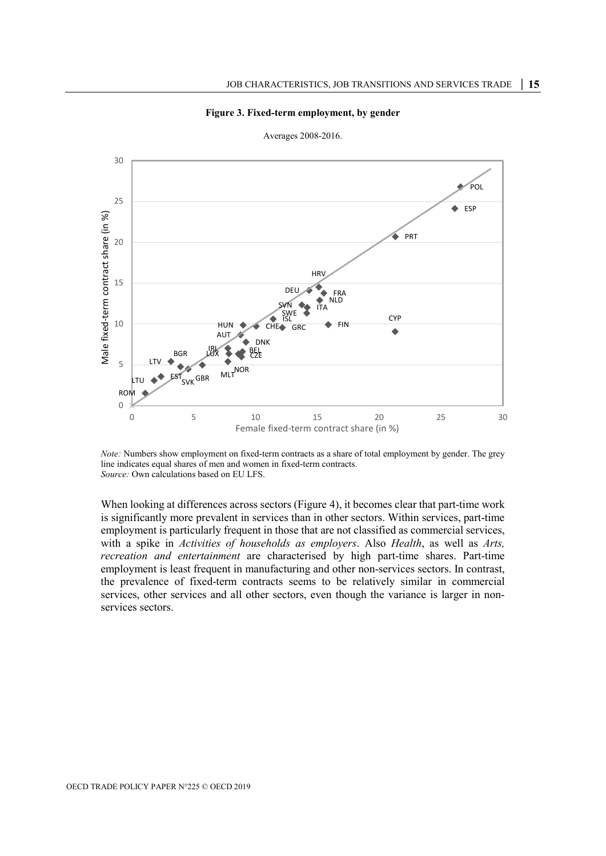

<span id="page-15-0"></span>

Averages 2008-2016.

*Note:* Numbers show employment on fixed-term contracts as a share of total employment by gender. The grey line indicates equal shares of men and women in fixed-term contracts. *Source:* Own calculations based on EU LFS.

When looking at differences across sectors [\(Figure](#page-16-0) 4), it becomes clear that part-time work is significantly more prevalent in services than in other sectors. Within services, part-time employment is particularly frequent in those that are not classified as commercial services, with a spike in *Activities of households as employers*. Also *Health*, as well as *Arts, recreation and entertainment* are characterised by high part-time shares. Part-time employment is least frequent in manufacturing and other non-services sectors. In contrast, the prevalence of fixed-term contracts seems to be relatively similar in commercial services, other services and all other sectors, even though the variance is larger in nonservices sectors.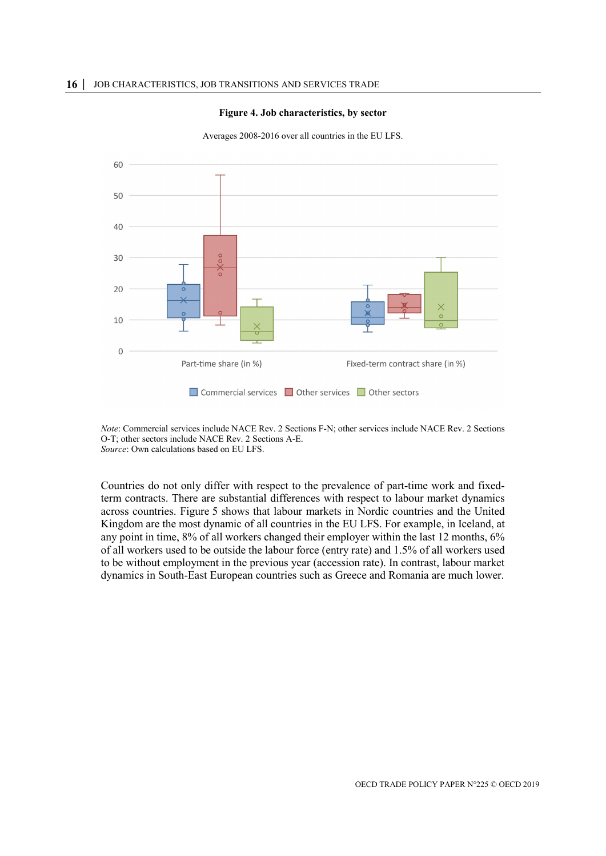

<span id="page-16-0"></span>60 50 40  $30$  $20$ 10

Averages 2008-2016 over all countries in the EU LFS.

*Note*: Commercial services include NACE Rev. 2 Sections F-N; other services include NACE Rev. 2 Sections O-T; other sectors include NACE Rev. 2 Sections A-E.

■ Commercial services ■ Other services ■ Other sectors

Fixed-term contract share (in %)

*Source*: Own calculations based on EU LFS.

Part-time share (in %)

 $\mathbf 0$ 

Countries do not only differ with respect to the prevalence of part-time work and fixedterm contracts. There are substantial differences with respect to labour market dynamics across countries. [Figure](#page-17-0) 5 shows that labour markets in Nordic countries and the United Kingdom are the most dynamic of all countries in the EU LFS. For example, in Iceland, at any point in time, 8% of all workers changed their employer within the last 12 months, 6% of all workers used to be outside the labour force (entry rate) and 1.5% of all workers used to be without employment in the previous year (accession rate). In contrast, labour market dynamics in South-East European countries such as Greece and Romania are much lower.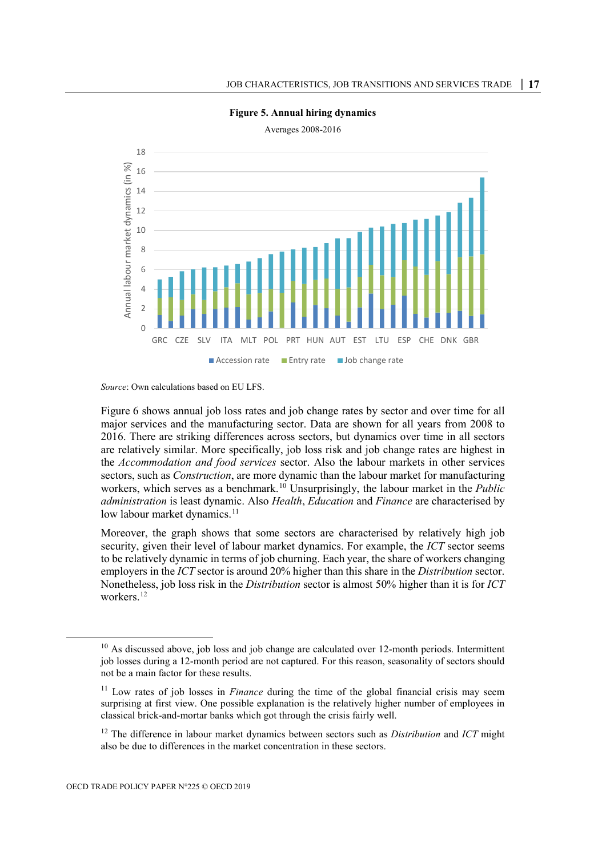<span id="page-17-0"></span>

#### **Figure 5. Annual hiring dynamics**

*Source*: Own calculations based on EU LFS.

[Figure](#page-18-0) 6 shows annual job loss rates and job change rates by sector and over time for all major services and the manufacturing sector. Data are shown for all years from 2008 to 2016. There are striking differences across sectors, but dynamics over time in all sectors are relatively similar. More specifically, job loss risk and job change rates are highest in the *Accommodation and food services* sector. Also the labour markets in other services sectors, such as *Construction*, are more dynamic than the labour market for manufacturing workers, which serves as a benchmark.<sup>[10](#page-17-1)</sup> Unsurprisingly, the labour market in the *Public administration* is least dynamic. Also *Health*, *Education* and *Finance* are characterised by low labour market dynamics.<sup>[11](#page-17-2)</sup>

Moreover, the graph shows that some sectors are characterised by relatively high job security, given their level of labour market dynamics. For example, the *ICT* sector seems to be relatively dynamic in terms of job churning. Each year, the share of workers changing employers in the *ICT* sector is around 20% higher than this share in the *Distribution* sector. Nonetheless, job loss risk in the *Distribution* sector is almost 50% higher than it is for *ICT* workers. [12](#page-17-3)

<span id="page-17-1"></span> $10$  As discussed above, job loss and job change are calculated over 12-month periods. Intermittent job losses during a 12-month period are not captured. For this reason, seasonality of sectors should not be a main factor for these results.

<span id="page-17-2"></span><sup>&</sup>lt;sup>11</sup> Low rates of job losses in *Finance* during the time of the global financial crisis may seem surprising at first view. One possible explanation is the relatively higher number of employees in classical brick-and-mortar banks which got through the crisis fairly well.

<span id="page-17-3"></span><sup>12</sup> The difference in labour market dynamics between sectors such as *Distribution* and *ICT* might also be due to differences in the market concentration in these sectors.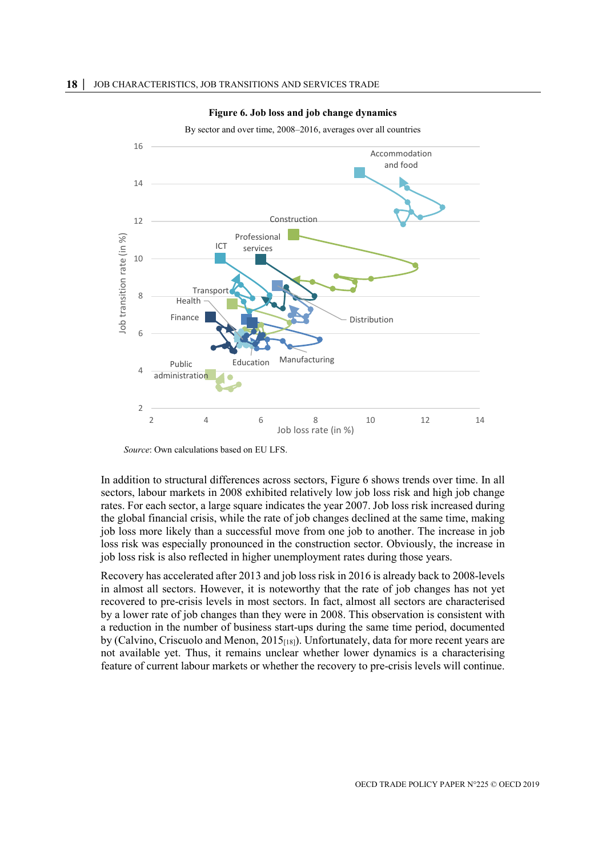<span id="page-18-0"></span>

#### **Figure 6. Job loss and job change dynamics**

By sector and over time, 2008–2016, averages over all countries

*Source*: Own calculations based on EU LFS.

In addition to structural differences across sectors, [Figure](#page-18-0) 6 shows trends over time. In all sectors, labour markets in 2008 exhibited relatively low job loss risk and high job change rates. For each sector, a large square indicates the year 2007. Job loss risk increased during the global financial crisis, while the rate of job changes declined at the same time, making job loss more likely than a successful move from one job to another. The increase in job loss risk was especially pronounced in the construction sector. Obviously, the increase in job loss risk is also reflected in higher unemployment rates during those years.

Recovery has accelerated after 2013 and job loss risk in 2016 is already back to 2008-levels in almost all sectors. However, it is noteworthy that the rate of job changes has not yet recovered to pre-crisis levels in most sectors. In fact, almost all sectors are characterised by a lower rate of job changes than they were in 2008. This observation is consistent with a reduction in the number of business start-ups during the same time period, documented by (Calvino, Criscuolo and Menon,  $2015_{[18]}$ ). Unfortunately, data for more recent years are not available yet. Thus, it remains unclear whether lower dynamics is a characterising feature of current labour markets or whether the recovery to pre-crisis levels will continue.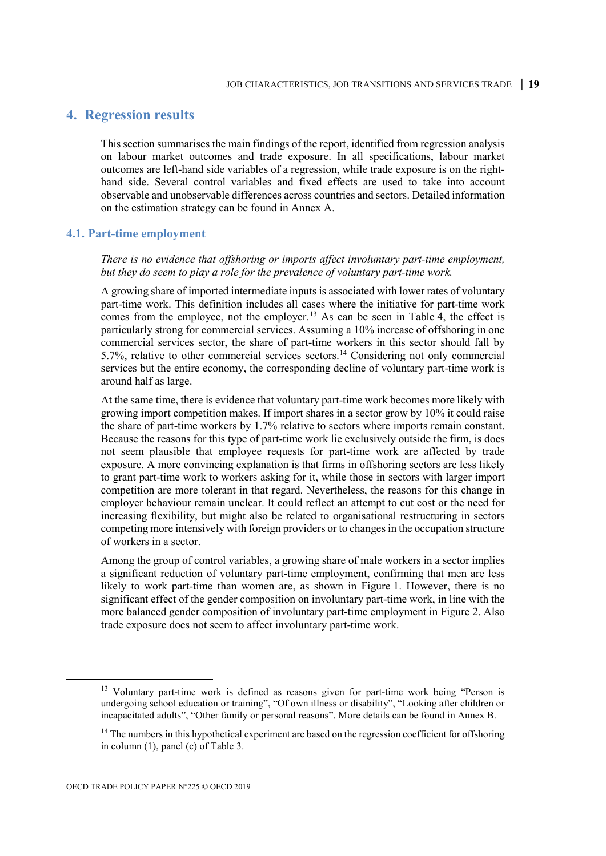# <span id="page-19-0"></span>**4. Regression results**

This section summarises the main findings of the report, identified from regression analysis on labour market outcomes and trade exposure. In all specifications, labour market outcomes are left-hand side variables of a regression, while trade exposure is on the righthand side. Several control variables and fixed effects are used to take into account observable and unobservable differences across countries and sectors. Detailed information on the estimation strategy can be found in [Annex A.](#page-36-0)

#### <span id="page-19-1"></span>**4.1. Part-time employment**

*There is no evidence that offshoring or imports affect involuntary part-time employment, but they do seem to play a role for the prevalence of voluntary part-time work.*

A growing share of imported intermediate inputs is associated with lower rates of voluntary part-time work. This definition includes all cases where the initiative for part-time work comes from the employee, not the employer. [13](#page-19-2) As can be seen in [Table](#page-20-0) 4, the effect is particularly strong for commercial services. Assuming a 10% increase of offshoring in one commercial services sector, the share of part-time workers in this sector should fall by 5.7%, relative to other commercial services sectors.[14](#page-19-3) Considering not only commercial services but the entire economy, the corresponding decline of voluntary part-time work is around half as large.

At the same time, there is evidence that voluntary part-time work becomes more likely with growing import competition makes. If import shares in a sector grow by 10% it could raise the share of part-time workers by 1.7% relative to sectors where imports remain constant. Because the reasons for this type of part-time work lie exclusively outside the firm, is does not seem plausible that employee requests for part-time work are affected by trade exposure. A more convincing explanation is that firms in offshoring sectors are less likely to grant part-time work to workers asking for it, while those in sectors with larger import competition are more tolerant in that regard. Nevertheless, the reasons for this change in employer behaviour remain unclear. It could reflect an attempt to cut cost or the need for increasing flexibility, but might also be related to organisational restructuring in sectors competing more intensively with foreign providers or to changes in the occupation structure of workers in a sector.

Among the group of control variables, a growing share of male workers in a sector implies a significant reduction of voluntary part-time employment, confirming that men are less likely to work part-time than women are, as shown in [Figure](#page-13-0) 1. However, there is no significant effect of the gender composition on involuntary part-time work, in line with the more balanced gender composition of involuntary part-time employment in [Figure](#page-14-0) 2. Also trade exposure does not seem to affect involuntary part-time work.

<span id="page-19-2"></span><sup>&</sup>lt;sup>13</sup> Voluntary part-time work is defined as reasons given for part-time work being "Person is undergoing school education or training", "Of own illness or disability", "Looking after children or incapacitated adults", "Other family or personal reasons". More details can be found in [Annex B.](#page-41-0)

<span id="page-19-3"></span><sup>&</sup>lt;sup>14</sup> The numbers in this hypothetical experiment are based on the regression coefficient for offshoring in column (1), panel (c) of Table 3.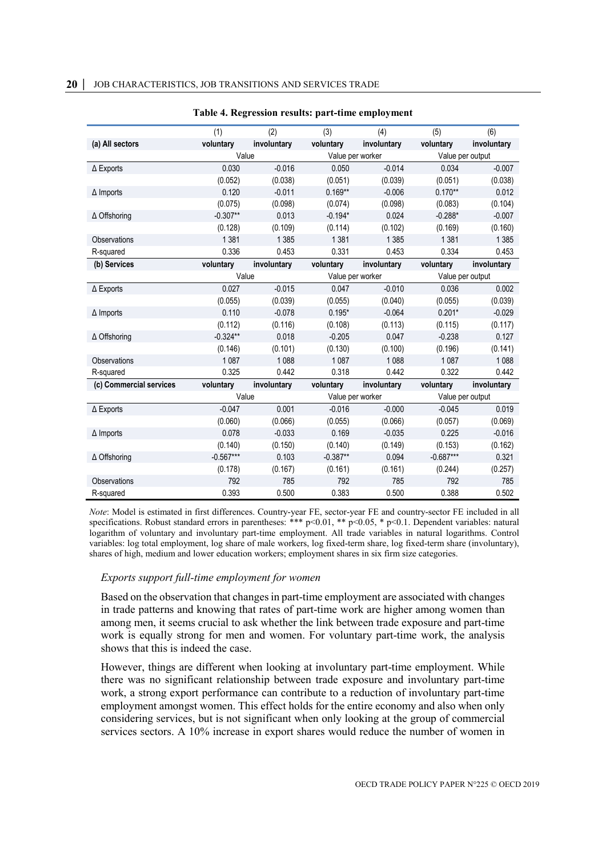<span id="page-20-0"></span>

|                         | (1)         | (2)         | (3)              | (4)              | (5)              | (6)         |
|-------------------------|-------------|-------------|------------------|------------------|------------------|-------------|
| (a) All sectors         | voluntary   | involuntary | voluntary        | involuntary      | voluntary        | involuntary |
|                         |             | Value       |                  | Value per worker | Value per output |             |
| $\Delta$ Exports        | 0.030       | $-0.016$    | 0.050            | $-0.014$         | 0.034            | $-0.007$    |
|                         | (0.052)     | (0.038)     | (0.051)          | (0.039)          | (0.051)          | (0.038)     |
| $\Delta$ Imports        | 0.120       | $-0.011$    | $0.169**$        | $-0.006$         | $0.170**$        | 0.012       |
|                         | (0.075)     | (0.098)     | (0.074)          | (0.098)          | (0.083)          | (0.104)     |
| ∆ Offshoring            | $-0.307**$  | 0.013       | $-0.194*$        | 0.024            | $-0.288*$        | $-0.007$    |
|                         | (0.128)     | (0.109)     | (0.114)          | (0.102)          | (0.169)          | (0.160)     |
| Observations            | 1381        | 1 3 8 5     | 1 3 8 1          | 1 3 8 5          | 1 3 8 1          | 1 3 8 5     |
| R-squared               | 0.336       | 0.453       | 0.331            | 0.453            | 0.334            | 0.453       |
| (b) Services            | voluntary   | involuntary | voluntary        | involuntary      | voluntary        | involuntary |
|                         | Value       |             | Value per worker |                  | Value per output |             |
| $\Delta$ Exports        | 0.027       | $-0.015$    | 0.047            | $-0.010$         | 0.036            | 0.002       |
|                         | (0.055)     | (0.039)     | (0.055)          | (0.040)          | (0.055)          | (0.039)     |
| $\Delta$ Imports        | 0.110       | $-0.078$    | $0.195*$         | $-0.064$         | $0.201*$         | $-0.029$    |
|                         | (0.112)     | (0.116)     | (0.108)          | (0.113)          | (0.115)          | (0.117)     |
| ∆ Offshoring            | $-0.324**$  | 0.018       | $-0.205$         | 0.047            | $-0.238$         | 0.127       |
|                         | (0.146)     | (0.101)     | (0.130)          | (0.100)          | (0.196)          | (0.141)     |
| Observations            | 1 0 8 7     | 1 0 8 8     | 1 0 8 7          | 1 0 8 8          | 1 0 8 7          | 1 0 8 8     |
| R-squared               | 0.325       | 0.442       | 0.318            | 0.442            | 0.322            | 0.442       |
| (c) Commercial services | voluntary   | involuntary | voluntary        | involuntary      | voluntary        | involuntary |
|                         | Value       |             | Value per worker |                  | Value per output |             |
| $\Delta$ Exports        | $-0.047$    | 0.001       | $-0.016$         | $-0.000$         | $-0.045$         | 0.019       |
|                         | (0.060)     | (0.066)     | (0.055)          | (0.066)          | (0.057)          | (0.069)     |
| $\Delta$ Imports        | 0.078       | $-0.033$    | 0.169            | $-0.035$         | 0.225            | $-0.016$    |
|                         | (0.140)     | (0.150)     | (0.140)          | (0.149)          | (0.153)          | (0.162)     |
| $\Delta$ Offshoring     | $-0.567***$ | 0.103       | $-0.387**$       | 0.094            | $-0.687***$      | 0.321       |
|                         | (0.178)     | (0.167)     | (0.161)          | (0.161)          | (0.244)          | (0.257)     |
| <b>Observations</b>     | 792         | 785         | 792              | 785              | 792              | 785         |
| R-squared               | 0.393       | 0.500       | 0.383            | 0.500            | 0.388            | 0.502       |

#### **Table 4. Regression results: part-time employment**

*Note*: Model is estimated in first differences. Country-year FE, sector-year FE and country-sector FE included in all specifications. Robust standard errors in parentheses: \*\*\* p<0.01, \*\* p<0.05, \* p<0.1. Dependent variables: natural logarithm of voluntary and involuntary part-time employment. All trade variables in natural logarithms. Control variables: log total employment, log share of male workers, log fixed-term share, log fixed-term share (involuntary), shares of high, medium and lower education workers; employment shares in six firm size categories.

#### *Exports support full-time employment for women*

Based on the observation that changes in part-time employment are associated with changes in trade patterns and knowing that rates of part-time work are higher among women than among men, it seems crucial to ask whether the link between trade exposure and part-time work is equally strong for men and women. For voluntary part-time work, the analysis shows that this is indeed the case.

However, things are different when looking at involuntary part-time employment. While there was no significant relationship between trade exposure and involuntary part-time work, a strong export performance can contribute to a reduction of involuntary part-time employment amongst women. This effect holds for the entire economy and also when only considering services, but is not significant when only looking at the group of commercial services sectors. A 10% increase in export shares would reduce the number of women in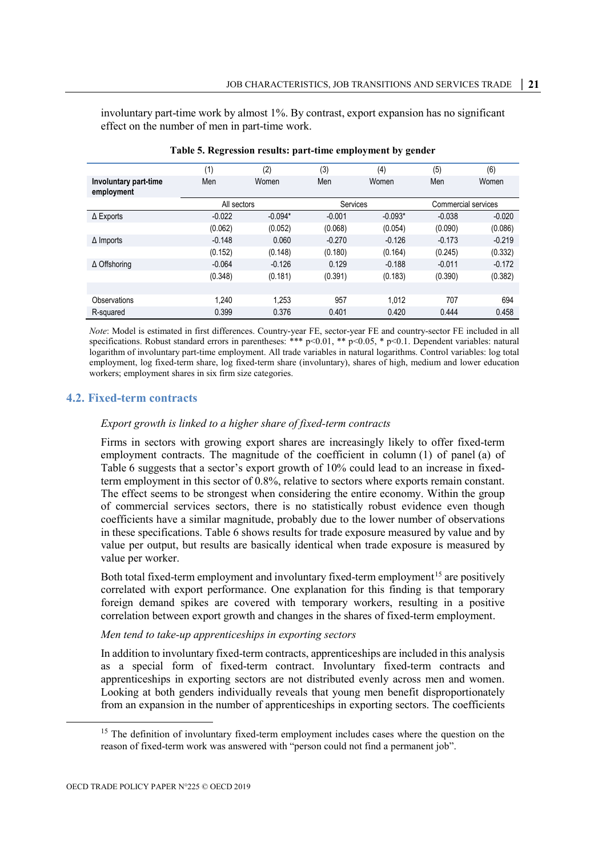involuntary part-time work by almost 1%. By contrast, export expansion has no significant effect on the number of men in part-time work.

<span id="page-21-1"></span>

|                                     | (1)         | (2)       | (3)      | (4)       | (5)      | (6)                 |
|-------------------------------------|-------------|-----------|----------|-----------|----------|---------------------|
| Involuntary part-time<br>employment | Men         | Women     | Men      | Women     | Men      | Women               |
|                                     | All sectors |           | Services |           |          | Commercial services |
| $\Delta$ Exports                    | $-0.022$    | $-0.094*$ | $-0.001$ | $-0.093*$ | $-0.038$ | $-0.020$            |
|                                     | (0.062)     | (0.052)   | (0.068)  | (0.054)   | (0.090)  | (0.086)             |
| $\Delta$ Imports                    | $-0.148$    | 0.060     | $-0.270$ | $-0.126$  | $-0.173$ | $-0.219$            |
|                                     | (0.152)     | (0.148)   | (0.180)  | (0.164)   | (0.245)  | (0.332)             |
| ∆ Offshoring                        | $-0.064$    | $-0.126$  | 0.129    | $-0.188$  | $-0.011$ | $-0.172$            |
|                                     | (0.348)     | (0.181)   | (0.391)  | (0.183)   | (0.390)  | (0.382)             |
|                                     |             |           |          |           |          |                     |
| Observations                        | 1.240       | 1.253     | 957      | 1.012     | 707      | 694                 |
| R-squared                           | 0.399       | 0.376     | 0.401    | 0.420     | 0.444    | 0.458               |

**Table 5. Regression results: part-time employment by gender**

*Note*: Model is estimated in first differences. Country-year FE, sector-year FE and country-sector FE included in all specifications. Robust standard errors in parentheses: \*\*\* p<0.01, \*\* p<0.05, \* p<0.1. Dependent variables: natural logarithm of involuntary part-time employment. All trade variables in natural logarithms. Control variables: log total employment, log fixed-term share, log fixed-term share (involuntary), shares of high, medium and lower education workers; employment shares in six firm size categories.

#### <span id="page-21-0"></span>**4.2. Fixed-term contracts**

#### *Export growth is linked to a higher share of fixed-term contracts*

Firms in sectors with growing export shares are increasingly likely to offer fixed-term employment contracts. The magnitude of the coefficient in column (1) of panel (a) of [Table](#page-22-0) 6 suggests that a sector's export growth of 10% could lead to an increase in fixedterm employment in this sector of 0.8%, relative to sectors where exports remain constant. The effect seems to be strongest when considering the entire economy. Within the group of commercial services sectors, there is no statistically robust evidence even though coefficients have a similar magnitude, probably due to the lower number of observations in these specifications. [Table](#page-22-0) 6 shows results for trade exposure measured by value and by value per output, but results are basically identical when trade exposure is measured by value per worker.

Both total fixed-term employment and involuntary fixed-term employment<sup>[15](#page-21-2)</sup> are positively correlated with export performance. One explanation for this finding is that temporary foreign demand spikes are covered with temporary workers, resulting in a positive correlation between export growth and changes in the shares of fixed-term employment.

#### *Men tend to take-up apprenticeships in exporting sectors*

In addition to involuntary fixed-term contracts, apprenticeships are included in this analysis as a special form of fixed-term contract. Involuntary fixed-term contracts and apprenticeships in exporting sectors are not distributed evenly across men and women. Looking at both genders individually reveals that young men benefit disproportionately from an expansion in the number of apprenticeships in exporting sectors. The coefficients

<span id="page-21-2"></span><sup>&</sup>lt;sup>15</sup> The definition of involuntary fixed-term employment includes cases where the question on the reason of fixed-term work was answered with "person could not find a permanent job".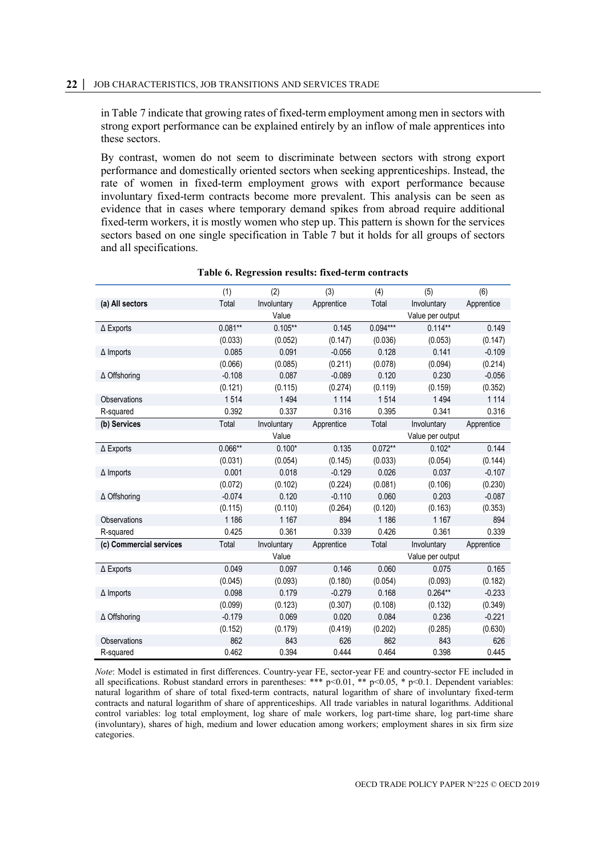#### **22 │** JOB CHARACTERISTICS, JOB TRANSITIONS AND SERVICES TRADE

in [Table](#page-23-1) 7 indicate that growing rates of fixed-term employment among men in sectors with strong export performance can be explained entirely by an inflow of male apprentices into these sectors.

By contrast, women do not seem to discriminate between sectors with strong export performance and domestically oriented sectors when seeking apprenticeships. Instead, the rate of women in fixed-term employment grows with export performance because involuntary fixed-term contracts become more prevalent. This analysis can be seen as evidence that in cases where temporary demand spikes from abroad require additional fixed-term workers, it is mostly women who step up. This pattern is shown for the services sectors based on one single specification in [Table](#page-23-1) 7 but it holds for all groups of sectors and all specifications.

<span id="page-22-0"></span>

|                         | (1)       | (2)         | (3)        | (4)        | (5)              | (6)        |
|-------------------------|-----------|-------------|------------|------------|------------------|------------|
| (a) All sectors         | Total     | Involuntary | Apprentice | Total      | Involuntary      | Apprentice |
|                         |           | Value       |            |            | Value per output |            |
| $\Delta$ Exports        | $0.081**$ | $0.105**$   | 0.145      | $0.094***$ | $0.114**$        | 0.149      |
|                         | (0.033)   | (0.052)     | (0.147)    | (0.036)    | (0.053)          | (0.147)    |
| $\Delta$ Imports        | 0.085     | 0.091       | $-0.056$   | 0.128      | 0.141            | $-0.109$   |
|                         | (0.066)   | (0.085)     | (0.211)    | (0.078)    | (0.094)          | (0.214)    |
| $\Delta$ Offshoring     | $-0.108$  | 0.087       | $-0.089$   | 0.120      | 0.230            | $-0.056$   |
|                         | (0.121)   | (0.115)     | (0.274)    | (0.119)    | (0.159)          | (0.352)    |
| Observations            | 1514      | 1494        | 1 1 1 4    | 1514       | 1494             | 1 1 1 4    |
| R-squared               | 0.392     | 0.337       | 0.316      | 0.395      | 0.341            | 0.316      |
| (b) Services            | Total     | Involuntary | Apprentice | Total      | Involuntary      | Apprentice |
|                         |           | Value       |            |            | Value per output |            |
| $\Delta$ Exports        | $0.066**$ | $0.100*$    | 0.135      | $0.072**$  | $0.102*$         | 0.144      |
|                         | (0.031)   | (0.054)     | (0.145)    | (0.033)    | (0.054)          | (0.144)    |
| $\Delta$ Imports        | 0.001     | 0.018       | $-0.129$   | 0.026      | 0.037            | $-0.107$   |
|                         | (0.072)   | (0.102)     | (0.224)    | (0.081)    | (0.106)          | (0.230)    |
| $\Delta$ Offshoring     | $-0.074$  | 0.120       | $-0.110$   | 0.060      | 0.203            | $-0.087$   |
|                         | (0.115)   | (0.110)     | (0.264)    | (0.120)    | (0.163)          | (0.353)    |
| Observations            | 1 1 8 6   | 1 1 6 7     | 894        | 1 1 8 6    | 1 1 6 7          | 894        |
| R-squared               | 0.425     | 0.361       | 0.339      | 0.426      | 0.361            | 0.339      |
| (c) Commercial services | Total     | Involuntary | Apprentice | Total      | Involuntary      | Apprentice |
|                         |           | Value       |            |            | Value per output |            |
| $\Delta$ Exports        | 0.049     | 0.097       | 0.146      | 0.060      | 0.075            | 0.165      |
|                         | (0.045)   | (0.093)     | (0.180)    | (0.054)    | (0.093)          | (0.182)    |
| $\Delta$ Imports        | 0.098     | 0.179       | $-0.279$   | 0.168      | $0.264**$        | $-0.233$   |
|                         | (0.099)   | (0.123)     | (0.307)    | (0.108)    | (0.132)          | (0.349)    |
| ∆ Offshoring            | $-0.179$  | 0.069       | 0.020      | 0.084      | 0.236            | $-0.221$   |
|                         | (0.152)   | (0.179)     | (0.419)    | (0.202)    | (0.285)          | (0.630)    |
| Observations            | 862       | 843         | 626        | 862        | 843              | 626        |
| R-squared               | 0.462     | 0.394       | 0.444      | 0.464      | 0.398            | 0.445      |

#### **Table 6. Regression results: fixed-term contracts**

*Note*: Model is estimated in first differences. Country-year FE, sector-year FE and country-sector FE included in all specifications. Robust standard errors in parentheses: \*\*\* p<0.01, \*\* p<0.05, \* p<0.1. Dependent variables: natural logarithm of share of total fixed-term contracts, natural logarithm of share of involuntary fixed-term contracts and natural logarithm of share of apprenticeships. All trade variables in natural logarithms. Additional control variables: log total employment, log share of male workers, log part-time share, log part-time share (involuntary), shares of high, medium and lower education among workers; employment shares in six firm size categories.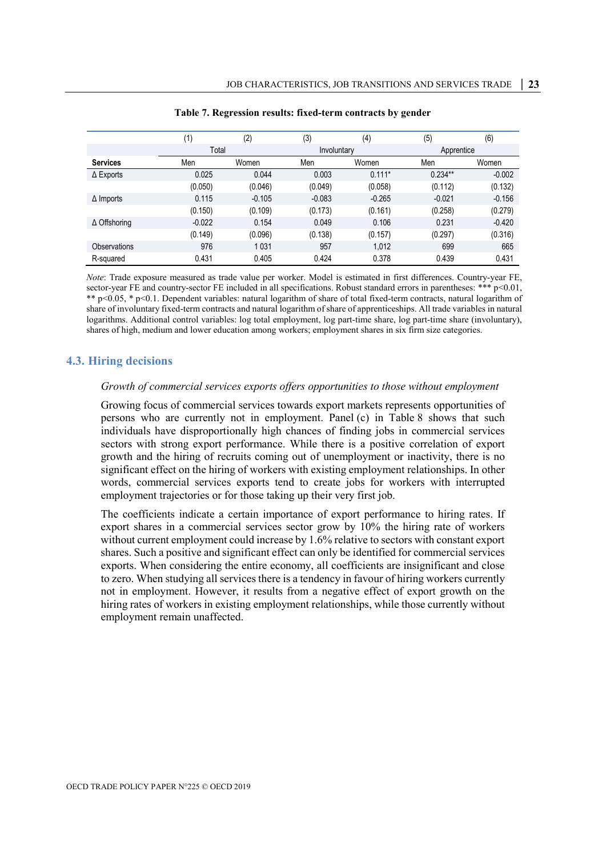<span id="page-23-1"></span>

|                  | (1)      | (2)      | (3)         | (4)      | (5)        | (6)      |
|------------------|----------|----------|-------------|----------|------------|----------|
|                  | Total    |          | Involuntary |          | Apprentice |          |
| <b>Services</b>  | Men      | Women    | Men         | Women    | Men        | Women    |
| $\Delta$ Exports | 0.025    | 0.044    | 0.003       | $0.111*$ | $0.234**$  | $-0.002$ |
|                  | (0.050)  | (0.046)  | (0.049)     | (0.058)  | (0.112)    | (0.132)  |
| $\Delta$ Imports | 0.115    | $-0.105$ | $-0.083$    | $-0.265$ | $-0.021$   | $-0.156$ |
|                  | (0.150)  | (0.109)  | (0.173)     | (0.161)  | (0.258)    | (0.279)  |
| ∆ Offshoring     | $-0.022$ | 0.154    | 0.049       | 0.106    | 0.231      | $-0.420$ |
|                  | (0.149)  | (0.096)  | (0.138)     | (0.157)  | (0.297)    | (0.316)  |
| Observations     | 976      | 1031     | 957         | 1.012    | 699        | 665      |
| R-squared        | 0.431    | 0.405    | 0.424       | 0.378    | 0.439      | 0.431    |

#### **Table 7. Regression results: fixed-term contracts by gender**

*Note*: Trade exposure measured as trade value per worker. Model is estimated in first differences. Country-year FE, sector-year FE and country-sector FE included in all specifications. Robust standard errors in parentheses: \*\*\* p<0.01, \*\* p<0.05, \* p<0.1. Dependent variables: natural logarithm of share of total fixed-term contracts, natural logarithm of share of involuntary fixed-term contracts and natural logarithm of share of apprenticeships. All trade variables in natural logarithms. Additional control variables: log total employment, log part-time share, log part-time share (involuntary), shares of high, medium and lower education among workers; employment shares in six firm size categories.

#### <span id="page-23-0"></span>**4.3. Hiring decisions**

#### *Growth of commercial services exports offers opportunities to those without employment*

Growing focus of commercial services towards export markets represents opportunities of persons who are currently not in employment. Panel (c) in [Table](#page-24-0) 8 shows that such individuals have disproportionally high chances of finding jobs in commercial services sectors with strong export performance. While there is a positive correlation of export growth and the hiring of recruits coming out of unemployment or inactivity, there is no significant effect on the hiring of workers with existing employment relationships. In other words, commercial services exports tend to create jobs for workers with interrupted employment trajectories or for those taking up their very first job.

The coefficients indicate a certain importance of export performance to hiring rates. If export shares in a commercial services sector grow by 10% the hiring rate of workers without current employment could increase by 1.6% relative to sectors with constant export shares. Such a positive and significant effect can only be identified for commercial services exports. When considering the entire economy, all coefficients are insignificant and close to zero. When studying all services there is a tendency in favour of hiring workers currently not in employment. However, it results from a negative effect of export growth on the hiring rates of workers in existing employment relationships, while those currently without employment remain unaffected.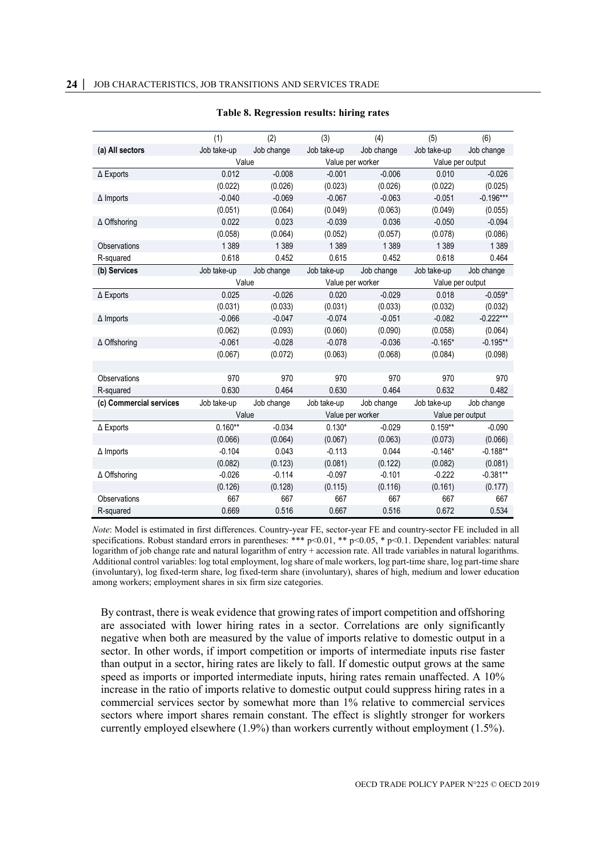<span id="page-24-0"></span>

|                         | (1)         | (2)        | (3)         | (4)              | (5)         | (6)              |  |
|-------------------------|-------------|------------|-------------|------------------|-------------|------------------|--|
| (a) All sectors         | Job take-up | Job change | Job take-up | Job change       | Job take-up | Job change       |  |
|                         | Value       |            |             | Value per worker |             | Value per output |  |
| $\Delta$ Exports        | 0.012       | $-0.008$   | $-0.001$    | $-0.006$         | 0.010       | $-0.026$         |  |
|                         | (0.022)     | (0.026)    | (0.023)     | (0.026)          | (0.022)     | (0.025)          |  |
| $\Delta$ Imports        | $-0.040$    | $-0.069$   | $-0.067$    | $-0.063$         | $-0.051$    | $-0.196***$      |  |
|                         | (0.051)     | (0.064)    | (0.049)     | (0.063)          | (0.049)     | (0.055)          |  |
| ∆ Offshoring            | 0.022       | 0.023      | $-0.039$    | 0.036            | $-0.050$    | $-0.094$         |  |
|                         | (0.058)     | (0.064)    | (0.052)     | (0.057)          | (0.078)     | (0.086)          |  |
| Observations            | 1 3 8 9     | 1 3 8 9    | 1 3 8 9     | 1 3 8 9          | 1 3 8 9     | 1 3 8 9          |  |
| R-squared               | 0.618       | 0.452      | 0.615       | 0.452            | 0.618       | 0.464            |  |
| (b) Services            | Job take-up | Job change | Job take-up | Job change       | Job take-up | Job change       |  |
|                         | Value       |            |             | Value per worker |             | Value per output |  |
| $\Delta$ Exports        | 0.025       | $-0.026$   | 0.020       | $-0.029$         | 0.018       | $-0.059*$        |  |
|                         | (0.031)     | (0.033)    | (0.031)     | (0.033)          | (0.032)     | (0.032)          |  |
| $\Delta$ Imports        | $-0.066$    | $-0.047$   | $-0.074$    | $-0.051$         | $-0.082$    | $-0.222***$      |  |
|                         | (0.062)     | (0.093)    | (0.060)     | (0.090)          | (0.058)     | (0.064)          |  |
| $\Delta$ Offshoring     | $-0.061$    | $-0.028$   | $-0.078$    | $-0.036$         | $-0.165*$   | $-0.195**$       |  |
|                         | (0.067)     | (0.072)    | (0.063)     | (0.068)          | (0.084)     | (0.098)          |  |
|                         |             |            |             |                  |             |                  |  |
| Observations            | 970         | 970        | 970         | 970              | 970         | 970              |  |
| R-squared               | 0.630       | 0.464      | 0.630       | 0.464            | 0.632       | 0.482            |  |
| (c) Commercial services | Job take-up | Job change | Job take-up | Job change       | Job take-up | Job change       |  |
|                         | Value       |            |             | Value per worker |             | Value per output |  |
| $\Delta$ Exports        | $0.160**$   | $-0.034$   | $0.130*$    | $-0.029$         | $0.159**$   | $-0.090$         |  |
|                         | (0.066)     | (0.064)    | (0.067)     | (0.063)          | (0.073)     | (0.066)          |  |
| $\Delta$ Imports        | $-0.104$    | 0.043      | $-0.113$    | 0.044            | $-0.146*$   | $-0.188**$       |  |
|                         | (0.082)     | (0.123)    | (0.081)     | (0.122)          | (0.082)     | (0.081)          |  |
| ∆ Offshoring            | $-0.026$    | $-0.114$   | $-0.097$    | $-0.101$         | $-0.222$    | $-0.381**$       |  |
|                         | (0.126)     | (0.128)    | (0.115)     | (0.116)          | (0.161)     | (0.177)          |  |
| Observations            | 667         | 667        | 667         | 667              | 667         | 667              |  |
| R-squared               | 0.669       | 0.516      | 0.667       | 0.516            | 0.672       | 0.534            |  |

#### **Table 8. Regression results: hiring rates**

*Note*: Model is estimated in first differences. Country-year FE, sector-year FE and country-sector FE included in all specifications. Robust standard errors in parentheses: \*\*\* p<0.01, \*\* p<0.05, \* p<0.1. Dependent variables: natural logarithm of job change rate and natural logarithm of entry + accession rate. All trade variables in natural logarithms. Additional control variables: log total employment, log share of male workers, log part-time share, log part-time share (involuntary), log fixed-term share, log fixed-term share (involuntary), shares of high, medium and lower education among workers; employment shares in six firm size categories.

By contrast, there is weak evidence that growing rates of import competition and offshoring are associated with lower hiring rates in a sector. Correlations are only significantly negative when both are measured by the value of imports relative to domestic output in a sector. In other words, if import competition or imports of intermediate inputs rise faster than output in a sector, hiring rates are likely to fall. If domestic output grows at the same speed as imports or imported intermediate inputs, hiring rates remain unaffected. A 10% increase in the ratio of imports relative to domestic output could suppress hiring rates in a commercial services sector by somewhat more than 1% relative to commercial services sectors where import shares remain constant. The effect is slightly stronger for workers currently employed elsewhere (1.9%) than workers currently without employment (1.5%).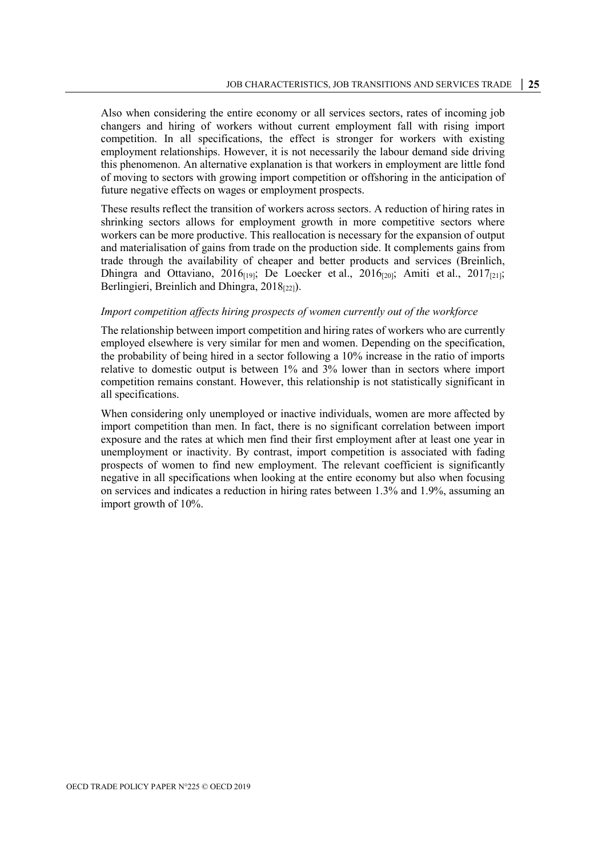Also when considering the entire economy or all services sectors, rates of incoming job changers and hiring of workers without current employment fall with rising import competition. In all specifications, the effect is stronger for workers with existing employment relationships. However, it is not necessarily the labour demand side driving this phenomenon. An alternative explanation is that workers in employment are little fond of moving to sectors with growing import competition or offshoring in the anticipation of future negative effects on wages or employment prospects.

These results reflect the transition of workers across sectors. A reduction of hiring rates in shrinking sectors allows for employment growth in more competitive sectors where workers can be more productive. This reallocation is necessary for the expansion of output and materialisation of gains from trade on the production side. It complements gains from trade through the availability of cheaper and better products and services (Breinlich, Dhingra and Ottaviano,  $2016_{[19]}$ ; De Loecker et al.,  $2016_{[20]}$ ; Amiti et al.,  $2017_{[21]}$ ; Berlingieri, Breinlich and Dhingra, 2018<sup>[22]</sup>).

#### *Import competition affects hiring prospects of women currently out of the workforce*

The relationship between import competition and hiring rates of workers who are currently employed elsewhere is very similar for men and women. Depending on the specification, the probability of being hired in a sector following a 10% increase in the ratio of imports relative to domestic output is between 1% and 3% lower than in sectors where import competition remains constant. However, this relationship is not statistically significant in all specifications.

When considering only unemployed or inactive individuals, women are more affected by import competition than men. In fact, there is no significant correlation between import exposure and the rates at which men find their first employment after at least one year in unemployment or inactivity. By contrast, import competition is associated with fading prospects of women to find new employment. The relevant coefficient is significantly negative in all specifications when looking at the entire economy but also when focusing on services and indicates a reduction in hiring rates between 1.3% and 1.9%, assuming an import growth of 10%.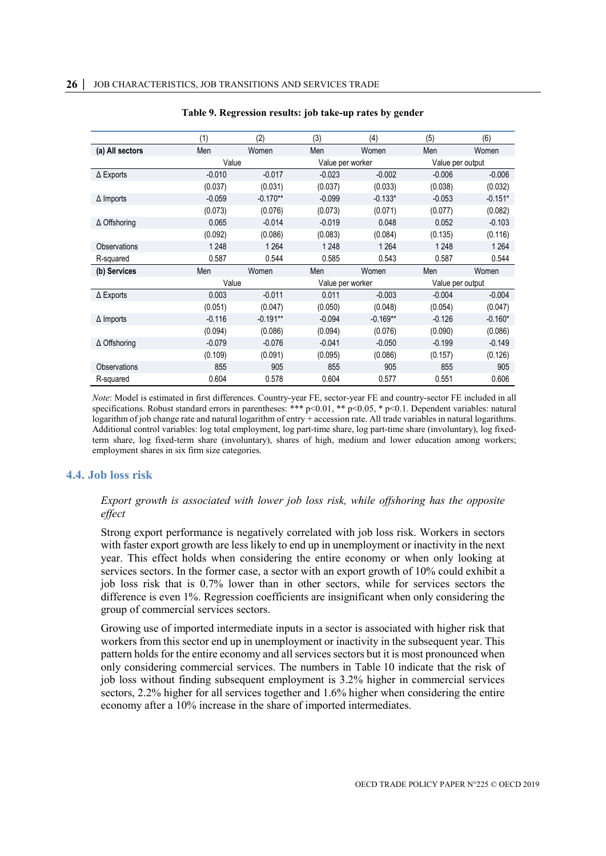<span id="page-26-1"></span>

|                     | (1)      | (2)        | (3)              | (4)        | (5)              | (6)       |  |
|---------------------|----------|------------|------------------|------------|------------------|-----------|--|
| (a) All sectors     | Men      | Women      | Men              | Women      | Men              | Women     |  |
|                     | Value    |            | Value per worker |            | Value per output |           |  |
| $\Delta$ Exports    | $-0.010$ | $-0.017$   | $-0.023$         | $-0.002$   | $-0.006$         | $-0.006$  |  |
|                     | (0.037)  | (0.031)    | (0.037)          | (0.033)    | (0.038)          | (0.032)   |  |
| $\Delta$ Imports    | $-0.059$ | $-0.170**$ | $-0.099$         | $-0.133*$  | $-0.053$         | $-0.151*$ |  |
|                     | (0.073)  | (0.076)    | (0.073)          | (0.071)    | (0.077)          | (0.082)   |  |
| $\Delta$ Offshoring | 0.065    | $-0.014$   | $-0.019$         | 0.048      | 0.052            | $-0.103$  |  |
|                     | (0.092)  | (0.086)    | (0.083)          | (0.084)    | (0.135)          | (0.116)   |  |
| <b>Observations</b> | 1 2 4 8  | 1 2 6 4    | 1 2 4 8          | 1 2 6 4    | 1 2 4 8          | 1 2 6 4   |  |
| R-squared           | 0.587    | 0.544      | 0.585            | 0.543      | 0.587            | 0.544     |  |
| (b) Services        | Men      | Women      | Men              | Women      | Men              | Women     |  |
|                     | Value    |            | Value per worker |            | Value per output |           |  |
| $\Delta$ Exports    | 0.003    | $-0.011$   | 0.011            | $-0.003$   | $-0.004$         | $-0.004$  |  |
|                     | (0.051)  | (0.047)    | (0.050)          | (0.048)    | (0.054)          | (0.047)   |  |
| $\Delta$ Imports    | $-0.116$ | $-0.191**$ | $-0.094$         | $-0.169**$ | $-0.126$         | $-0.160*$ |  |
|                     | (0.094)  | (0.086)    | (0.094)          | (0.076)    | (0.090)          | (0.086)   |  |
| $\Delta$ Offshoring | $-0.079$ | $-0.076$   | $-0.041$         | $-0.050$   | $-0.199$         | $-0.149$  |  |
|                     | (0.109)  | (0.091)    | (0.095)          | (0.086)    | (0.157)          | (0.126)   |  |
| <b>Observations</b> | 855      | 905        | 855              | 905        | 855              | 905       |  |
| R-squared           | 0.604    | 0.578      | 0.604            | 0.577      | 0.551            | 0.606     |  |

#### **Table 9. Regression results: job take-up rates by gender**

*Note*: Model is estimated in first differences. Country-year FE, sector-year FE and country-sector FE included in all specifications. Robust standard errors in parentheses: \*\*\* p<0.01, \*\* p<0.05, \* p<0.1. Dependent variables: natural logarithm of job change rate and natural logarithm of entry + accession rate. All trade variables in natural logarithms. Additional control variables: log total employment, log part-time share, log part-time share (involuntary), log fixedterm share, log fixed-term share (involuntary), shares of high, medium and lower education among workers; employment shares in six firm size categories.

#### <span id="page-26-0"></span>**4.4. Job loss risk**

#### *Export growth is associated with lower job loss risk, while offshoring has the opposite effect*

Strong export performance is negatively correlated with job loss risk. Workers in sectors with faster export growth are less likely to end up in unemployment or inactivity in the next year. This effect holds when considering the entire economy or when only looking at services sectors. In the former case, a sector with an export growth of 10% could exhibit a job loss risk that is 0.7% lower than in other sectors, while for services sectors the difference is even 1%. Regression coefficients are insignificant when only considering the group of commercial services sectors.

Growing use of imported intermediate inputs in a sector is associated with higher risk that workers from this sector end up in unemployment or inactivity in the subsequent year. This pattern holds for the entire economy and all services sectors but it is most pronounced when only considering commercial services. The numbers in [Table](#page-27-0) 10 indicate that the risk of job loss without finding subsequent employment is 3.2% higher in commercial services sectors, 2.2% higher for all services together and 1.6% higher when considering the entire economy after a 10% increase in the share of imported intermediates.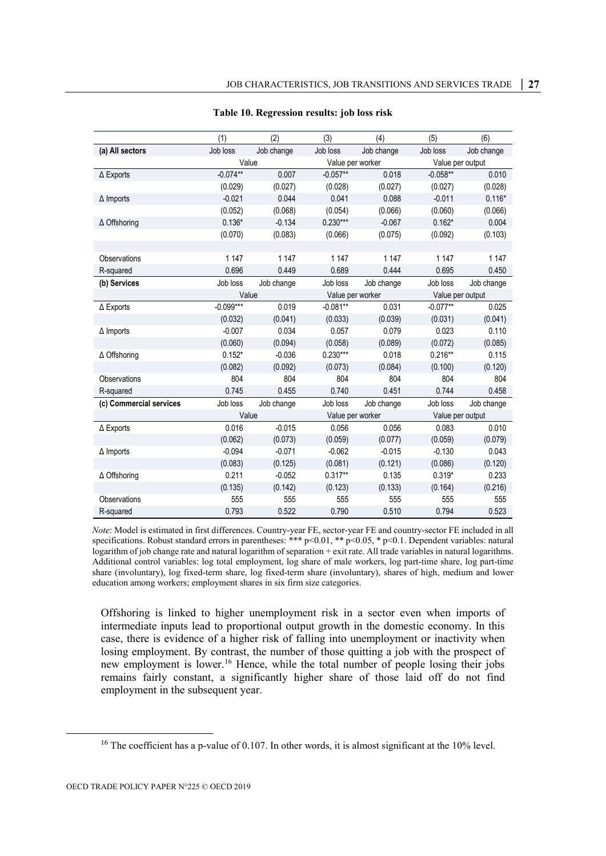<span id="page-27-0"></span>

|                         | (1)         | (2)        | (3)              | (4)        | (5)              | (6)        |
|-------------------------|-------------|------------|------------------|------------|------------------|------------|
| (a) All sectors         | Job loss    | Job change | Job loss         | Job change | Job loss         | Job change |
|                         | Value       |            | Value per worker |            | Value per output |            |
| $\Delta$ Exports        | $-0.074**$  | 0.007      | $-0.057**$       | 0.018      | $-0.058**$       | 0.010      |
|                         | (0.029)     | (0.027)    | (0.028)          | (0.027)    | (0.027)          | (0.028)    |
| $\Delta$ Imports        | $-0.021$    | 0.044      | 0.041            | 0.088      | $-0.011$         | $0.116*$   |
|                         | (0.052)     | (0.068)    | (0.054)          | (0.066)    | (0.060)          | (0.066)    |
| $\Delta$ Offshoring     | $0.136*$    | $-0.134$   | $0.230***$       | $-0.067$   | $0.162*$         | 0.004      |
|                         | (0.070)     | (0.083)    | (0.066)          | (0.075)    | (0.092)          | (0.103)    |
|                         |             |            |                  |            |                  |            |
| Observations            | 1 1 4 7     | 1 1 4 7    | 1 1 4 7          | 1 1 4 7    | 1 1 4 7          | 1 1 4 7    |
| R-squared               | 0.696       | 0.449      | 0.689            | 0.444      | 0.695            | 0.450      |
| (b) Services            | Job loss    | Job change | Job loss         | Job change | Job loss         | Job change |
|                         | Value       |            | Value per worker |            | Value per output |            |
| $\Delta$ Exports        | $-0.099***$ | 0.019      | $-0.081**$       | 0.031      | $-0.077**$       | 0.025      |
|                         | (0.032)     | (0.041)    | (0.033)          | (0.039)    | (0.031)          | (0.041)    |
| $\Delta$ Imports        | $-0.007$    | 0.034      | 0.057            | 0.079      | 0.023            | 0.110      |
|                         | (0.060)     | (0.094)    | (0.058)          | (0.089)    | (0.072)          | (0.085)    |
| $\Delta$ Offshoring     | $0.152*$    | $-0.036$   | $0.230***$       | 0.018      | $0.216**$        | 0.115      |
|                         | (0.082)     | (0.092)    | (0.073)          | (0.084)    | (0.100)          | (0.120)    |
| Observations            | 804         | 804        | 804              | 804        | 804              | 804        |
| R-squared               | 0.745       | 0.455      | 0.740            | 0.451      | 0.744            | 0.458      |
| (c) Commercial services | Job loss    | Job change | Job loss         | Job change | Job loss         | Job change |
|                         | Value       |            | Value per worker |            | Value per output |            |
| $\Delta$ Exports        | 0.016       | $-0.015$   | 0.056            | 0.056      | 0.083            | 0.010      |
|                         | (0.062)     | (0.073)    | (0.059)          | (0.077)    | (0.059)          | (0.079)    |
| $\Delta$ Imports        | $-0.094$    | $-0.071$   | $-0.062$         | $-0.015$   | $-0.130$         | 0.043      |
|                         | (0.083)     | (0.125)    | (0.081)          | (0.121)    | (0.086)          | (0.120)    |
| ∆ Offshoring            | 0.211       | $-0.052$   | $0.317**$        | 0.135      | $0.319*$         | 0.233      |
|                         | (0.135)     | (0.142)    | (0.123)          | (0.133)    | (0.164)          | (0.216)    |
| Observations            | 555         | 555        | 555              | 555        | 555              | 555        |
| R-squared               | 0.793       | 0.522      | 0.790            | 0.510      | 0.794            | 0.523      |

#### **Table 10. Regression results: job loss risk**

*Note*: Model is estimated in first differences. Country-year FE, sector-year FE and country-sector FE included in all specifications. Robust standard errors in parentheses: \*\*\* p<0.01, \*\* p<0.05, \* p<0.1. Dependent variables: natural logarithm of job change rate and natural logarithm of separation + exit rate. All trade variables in natural logarithms. Additional control variables: log total employment, log share of male workers, log part-time share, log part-time share (involuntary), log fixed-term share, log fixed-term share (involuntary), shares of high, medium and lower education among workers; employment shares in six firm size categories.

Offshoring is linked to higher unemployment risk in a sector even when imports of intermediate inputs lead to proportional output growth in the domestic economy. In this case, there is evidence of a higher risk of falling into unemployment or inactivity when losing employment. By contrast, the number of those quitting a job with the prospect of new employment is lower.<sup>[16](#page-27-1)</sup> Hence, while the total number of people losing their jobs remains fairly constant, a significantly higher share of those laid off do not find employment in the subsequent year.

<span id="page-27-1"></span><sup>&</sup>lt;sup>16</sup> The coefficient has a p-value of 0.107. In other words, it is almost significant at the 10% level.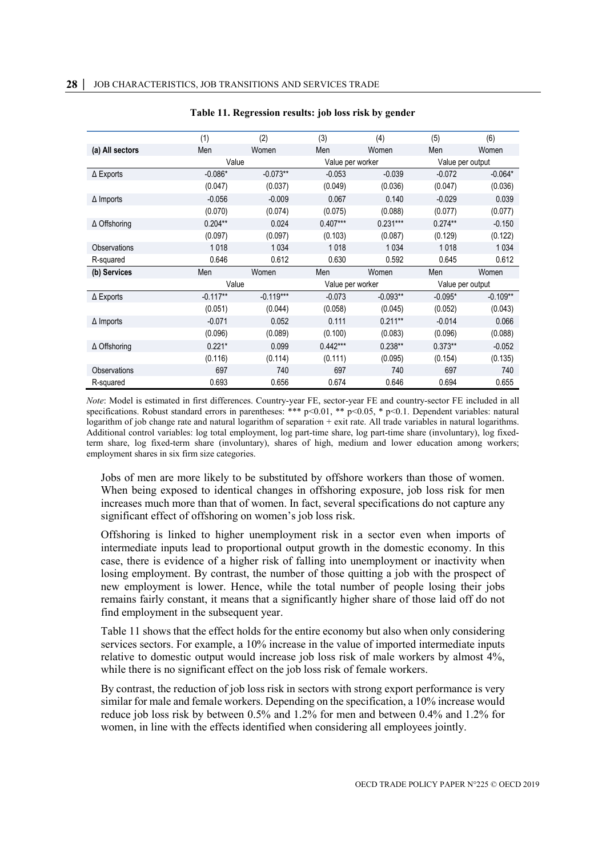<span id="page-28-0"></span>

|                     | (1)        | (2)         | (3)              | (4)        | (5)              | (6)        |  |
|---------------------|------------|-------------|------------------|------------|------------------|------------|--|
| (a) All sectors     | Men        | Women       | Men              | Women      | Men              | Women      |  |
|                     | Value      |             | Value per worker |            | Value per output |            |  |
| $\Delta$ Exports    | $-0.086*$  | $-0.073**$  | $-0.053$         | $-0.039$   | $-0.072$         | $-0.064*$  |  |
|                     | (0.047)    | (0.037)     | (0.049)          | (0.036)    | (0.047)          | (0.036)    |  |
| $\Delta$ Imports    | $-0.056$   | $-0.009$    | 0.067            | 0.140      | $-0.029$         | 0.039      |  |
|                     | (0.070)    | (0.074)     | (0.075)          | (0.088)    | (0.077)          | (0.077)    |  |
| $\Delta$ Offshoring | $0.204**$  | 0.024       | $0.407***$       | $0.231***$ | $0.274**$        | $-0.150$   |  |
|                     | (0.097)    | (0.097)     | (0.103)          | (0.087)    | (0.129)          | (0.122)    |  |
| <b>Observations</b> | 1018       | 1034        | 1018             | 1 0 3 4    | 1018             | 1 0 3 4    |  |
| R-squared           | 0.646      | 0.612       | 0.630            | 0.592      | 0.645            | 0.612      |  |
| (b) Services        | Men        | Women       | Men              | Women      | Men              | Women      |  |
|                     | Value      |             | Value per worker |            | Value per output |            |  |
| $\Delta$ Exports    | $-0.117**$ | $-0.119***$ | $-0.073$         | $-0.093**$ | $-0.095*$        | $-0.109**$ |  |
|                     | (0.051)    | (0.044)     | (0.058)          | (0.045)    | (0.052)          | (0.043)    |  |
| $\Delta$ Imports    | $-0.071$   | 0.052       | 0.111            | $0.211**$  | $-0.014$         | 0.066      |  |
|                     | (0.096)    | (0.089)     | (0.100)          | (0.083)    | (0.096)          | (0.088)    |  |
| $\Delta$ Offshoring | $0.221*$   | 0.099       | $0.442***$       | $0.238**$  | $0.373**$        | $-0.052$   |  |
|                     | (0.116)    | (0.114)     | (0.111)          | (0.095)    | (0.154)          | (0.135)    |  |
| Observations        | 697        | 740         | 697              | 740        | 697              | 740        |  |
| R-squared           | 0.693      | 0.656       | 0.674            | 0.646      | 0.694            | 0.655      |  |

#### **Table 11. Regression results: job loss risk by gender**

*Note*: Model is estimated in first differences. Country-year FE, sector-year FE and country-sector FE included in all specifications. Robust standard errors in parentheses: \*\*\* p<0.01, \*\* p<0.05, \* p<0.1. Dependent variables: natural logarithm of job change rate and natural logarithm of separation + exit rate. All trade variables in natural logarithms. Additional control variables: log total employment, log part-time share, log part-time share (involuntary), log fixedterm share, log fixed-term share (involuntary), shares of high, medium and lower education among workers; employment shares in six firm size categories.

Jobs of men are more likely to be substituted by offshore workers than those of women. When being exposed to identical changes in offshoring exposure, job loss risk for men increases much more than that of women. In fact, several specifications do not capture any significant effect of offshoring on women's job loss risk.

Offshoring is linked to higher unemployment risk in a sector even when imports of intermediate inputs lead to proportional output growth in the domestic economy. In this case, there is evidence of a higher risk of falling into unemployment or inactivity when losing employment. By contrast, the number of those quitting a job with the prospect of new employment is lower. Hence, while the total number of people losing their jobs remains fairly constant, it means that a significantly higher share of those laid off do not find employment in the subsequent year.

[Table](#page-28-0) 11 shows that the effect holds for the entire economy but also when only considering services sectors. For example, a 10% increase in the value of imported intermediate inputs relative to domestic output would increase job loss risk of male workers by almost 4%, while there is no significant effect on the job loss risk of female workers.

By contrast, the reduction of job loss risk in sectors with strong export performance is very similar for male and female workers. Depending on the specification, a 10% increase would reduce job loss risk by between 0.5% and 1.2% for men and between 0.4% and 1.2% for women, in line with the effects identified when considering all employees jointly.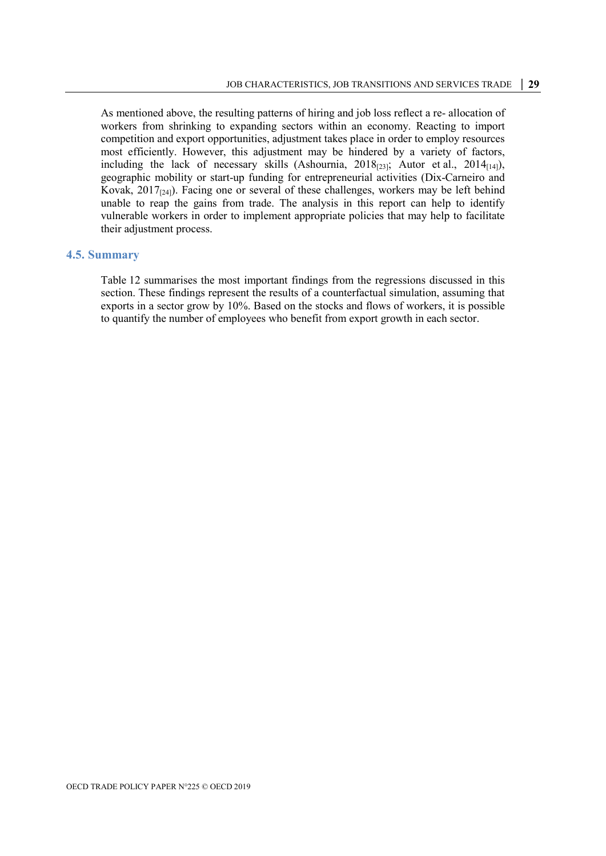As mentioned above, the resulting patterns of hiring and job loss reflect a re- allocation of workers from shrinking to expanding sectors within an economy. Reacting to import competition and export opportunities, adjustment takes place in order to employ resources most efficiently. However, this adjustment may be hindered by a variety of factors, including the lack of necessary skills (Ashournia,  $2018_{[23]}$ ; Autor et al.,  $2014_{[14]}$ ), geographic mobility or start-up funding for entrepreneurial activities (Dix-Carneiro and Kovak,  $2017_{[24]}$ ). Facing one or several of these challenges, workers may be left behind unable to reap the gains from trade. The analysis in this report can help to identify vulnerable workers in order to implement appropriate policies that may help to facilitate their adjustment process.

#### <span id="page-29-0"></span>**4.5. Summary**

[Table](#page-30-0) 12 summarises the most important findings from the regressions discussed in this section. These findings represent the results of a counterfactual simulation, assuming that exports in a sector grow by 10%. Based on the stocks and flows of workers, it is possible to quantify the number of employees who benefit from export growth in each sector.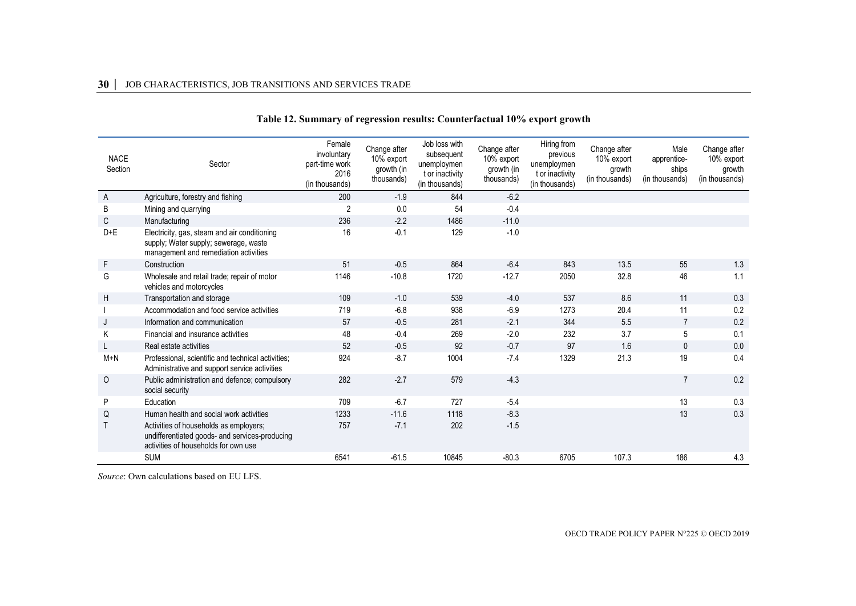#### **30 │** JOB CHARACTERISTICS, JOB TRANSITIONS AND SERVICES TRADE

| <b>NACE</b><br>Section | Sector                                                                                                                           | Female<br>involuntary<br>part-time work<br>2016<br>(in thousands) | Change after<br>10% export<br>growth (in<br>thousands) | Job loss with<br>subsequent<br>unemploymen<br>t or inactivity<br>(in thousands) | Change after<br>10% export<br>growth (in<br>thousands) | Hiring from<br>previous<br>unemploymen<br>t or inactivity<br>(in thousands) | Change after<br>10% export<br>growth<br>(in thousands) | Male<br>apprentice-<br>ships<br>(in thousands) | Change after<br>10% export<br>growth<br>(in thousands) |
|------------------------|----------------------------------------------------------------------------------------------------------------------------------|-------------------------------------------------------------------|--------------------------------------------------------|---------------------------------------------------------------------------------|--------------------------------------------------------|-----------------------------------------------------------------------------|--------------------------------------------------------|------------------------------------------------|--------------------------------------------------------|
| A                      | Agriculture, forestry and fishing                                                                                                | 200                                                               | $-1.9$                                                 | 844                                                                             | $-6.2$                                                 |                                                                             |                                                        |                                                |                                                        |
| B                      | Mining and quarrying                                                                                                             | $\overline{2}$                                                    | 0.0                                                    | 54                                                                              | $-0.4$                                                 |                                                                             |                                                        |                                                |                                                        |
| C                      | Manufacturing                                                                                                                    | 236                                                               | $-2.2$                                                 | 1486                                                                            | $-11.0$                                                |                                                                             |                                                        |                                                |                                                        |
| $D+E$                  | Electricity, gas, steam and air conditioning<br>supply; Water supply; sewerage, waste<br>management and remediation activities   | 16                                                                | $-0.1$                                                 | 129                                                                             | $-1.0$                                                 |                                                                             |                                                        |                                                |                                                        |
| F                      | Construction                                                                                                                     | 51                                                                | $-0.5$                                                 | 864                                                                             | $-6.4$                                                 | 843                                                                         | 13.5                                                   | 55                                             | 1.3                                                    |
| G                      | Wholesale and retail trade; repair of motor<br>vehicles and motorcycles                                                          | 1146                                                              | $-10.8$                                                | 1720                                                                            | $-12.7$                                                | 2050                                                                        | 32.8                                                   | 46                                             | 1.1                                                    |
| H                      | Transportation and storage                                                                                                       | 109                                                               | $-1.0$                                                 | 539                                                                             | $-4.0$                                                 | 537                                                                         | 8.6                                                    | 11                                             | 0.3                                                    |
|                        | Accommodation and food service activities                                                                                        | 719                                                               | $-6.8$                                                 | 938                                                                             | $-6.9$                                                 | 1273                                                                        | 20.4                                                   | 11                                             | 0.2                                                    |
| J                      | Information and communication                                                                                                    | 57                                                                | $-0.5$                                                 | 281                                                                             | $-2.1$                                                 | 344                                                                         | 5.5                                                    | $\overline{7}$                                 | 0.2                                                    |
| Κ                      | Financial and insurance activities                                                                                               | 48                                                                | $-0.4$                                                 | 269                                                                             | $-2.0$                                                 | 232                                                                         | 3.7                                                    | 5                                              | 0.1                                                    |
|                        | Real estate activities                                                                                                           | 52                                                                | $-0.5$                                                 | 92                                                                              | $-0.7$                                                 | 97                                                                          | 1.6                                                    | $\mathbf{0}$                                   | 0.0                                                    |
| $M+N$                  | Professional, scientific and technical activities;<br>Administrative and support service activities                              | 924                                                               | $-8.7$                                                 | 1004                                                                            | $-7.4$                                                 | 1329                                                                        | 21.3                                                   | 19                                             | 0.4                                                    |
| 0                      | Public administration and defence; compulsory<br>social security                                                                 | 282                                                               | $-2.7$                                                 | 579                                                                             | $-4.3$                                                 |                                                                             |                                                        |                                                | 0.2                                                    |
| P                      | Education                                                                                                                        | 709                                                               | $-6.7$                                                 | 727                                                                             | $-5.4$                                                 |                                                                             |                                                        | 13                                             | 0.3                                                    |
| Q                      | Human health and social work activities                                                                                          | 1233                                                              | $-11.6$                                                | 1118                                                                            | $-8.3$                                                 |                                                                             |                                                        | 13                                             | 0.3                                                    |
|                        | Activities of households as employers;<br>undifferentiated goods- and services-producing<br>activities of households for own use | 757                                                               | $-7.1$                                                 | 202                                                                             | $-1.5$                                                 |                                                                             |                                                        |                                                |                                                        |
|                        | <b>SUM</b>                                                                                                                       | 6541                                                              | $-61.5$                                                | 10845                                                                           | $-80.3$                                                | 6705                                                                        | 107.3                                                  | 186                                            | 4.3                                                    |

#### **Table 12. Summary of regression results: Counterfactual 10% export growth**

<span id="page-30-0"></span>*Source*: Own calculations based on EU LFS.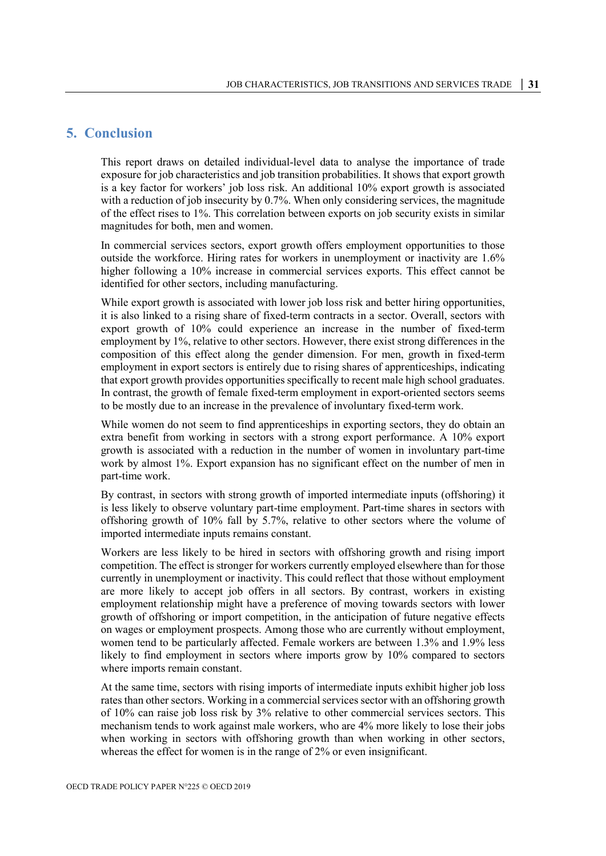# <span id="page-31-0"></span>**5. Conclusion**

This report draws on detailed individual-level data to analyse the importance of trade exposure for job characteristics and job transition probabilities. It shows that export growth is a key factor for workers' job loss risk. An additional 10% export growth is associated with a reduction of job insecurity by 0.7%. When only considering services, the magnitude of the effect rises to 1%. This correlation between exports on job security exists in similar magnitudes for both, men and women.

In commercial services sectors, export growth offers employment opportunities to those outside the workforce. Hiring rates for workers in unemployment or inactivity are 1.6% higher following a 10% increase in commercial services exports. This effect cannot be identified for other sectors, including manufacturing.

While export growth is associated with lower job loss risk and better hiring opportunities, it is also linked to a rising share of fixed-term contracts in a sector. Overall, sectors with export growth of 10% could experience an increase in the number of fixed-term employment by 1%, relative to other sectors. However, there exist strong differences in the composition of this effect along the gender dimension. For men, growth in fixed-term employment in export sectors is entirely due to rising shares of apprenticeships, indicating that export growth provides opportunities specifically to recent male high school graduates. In contrast, the growth of female fixed-term employment in export-oriented sectors seems to be mostly due to an increase in the prevalence of involuntary fixed-term work.

While women do not seem to find apprenticeships in exporting sectors, they do obtain an extra benefit from working in sectors with a strong export performance. A 10% export growth is associated with a reduction in the number of women in involuntary part-time work by almost 1%. Export expansion has no significant effect on the number of men in part-time work.

By contrast, in sectors with strong growth of imported intermediate inputs (offshoring) it is less likely to observe voluntary part-time employment. Part-time shares in sectors with offshoring growth of 10% fall by 5.7%, relative to other sectors where the volume of imported intermediate inputs remains constant.

Workers are less likely to be hired in sectors with offshoring growth and rising import competition. The effect is stronger for workers currently employed elsewhere than for those currently in unemployment or inactivity. This could reflect that those without employment are more likely to accept job offers in all sectors. By contrast, workers in existing employment relationship might have a preference of moving towards sectors with lower growth of offshoring or import competition, in the anticipation of future negative effects on wages or employment prospects. Among those who are currently without employment, women tend to be particularly affected. Female workers are between 1.3% and 1.9% less likely to find employment in sectors where imports grow by 10% compared to sectors where imports remain constant.

At the same time, sectors with rising imports of intermediate inputs exhibit higher job loss rates than other sectors. Working in a commercial services sector with an offshoring growth of 10% can raise job loss risk by 3% relative to other commercial services sectors. This mechanism tends to work against male workers, who are 4% more likely to lose their jobs when working in sectors with offshoring growth than when working in other sectors, whereas the effect for women is in the range of 2% or even insignificant.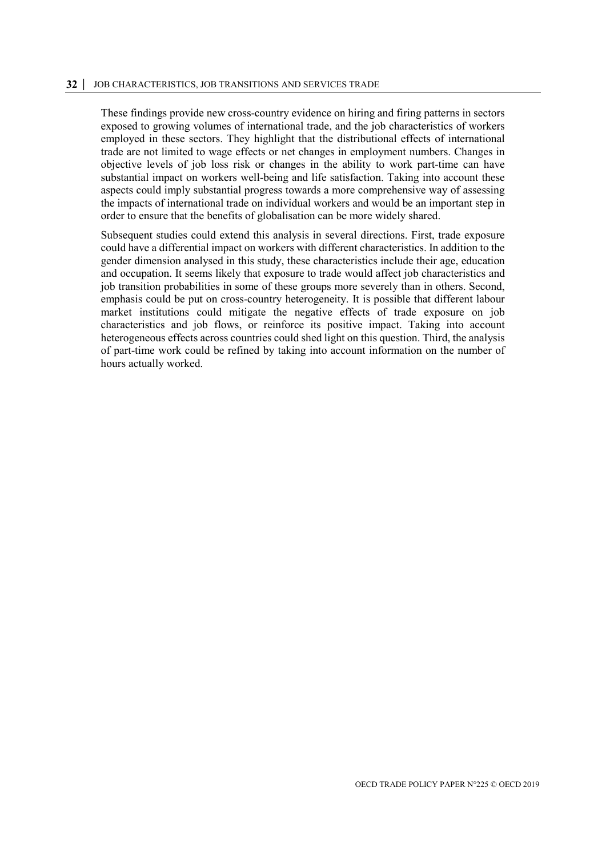#### **32 │** JOB CHARACTERISTICS, JOB TRANSITIONS AND SERVICES TRADE

These findings provide new cross-country evidence on hiring and firing patterns in sectors exposed to growing volumes of international trade, and the job characteristics of workers employed in these sectors. They highlight that the distributional effects of international trade are not limited to wage effects or net changes in employment numbers. Changes in objective levels of job loss risk or changes in the ability to work part-time can have substantial impact on workers well-being and life satisfaction. Taking into account these aspects could imply substantial progress towards a more comprehensive way of assessing the impacts of international trade on individual workers and would be an important step in order to ensure that the benefits of globalisation can be more widely shared.

Subsequent studies could extend this analysis in several directions. First, trade exposure could have a differential impact on workers with different characteristics. In addition to the gender dimension analysed in this study, these characteristics include their age, education and occupation. It seems likely that exposure to trade would affect job characteristics and job transition probabilities in some of these groups more severely than in others. Second, emphasis could be put on cross-country heterogeneity. It is possible that different labour market institutions could mitigate the negative effects of trade exposure on job characteristics and job flows, or reinforce its positive impact. Taking into account heterogeneous effects across countries could shed light on this question. Third, the analysis of part-time work could be refined by taking into account information on the number of hours actually worked.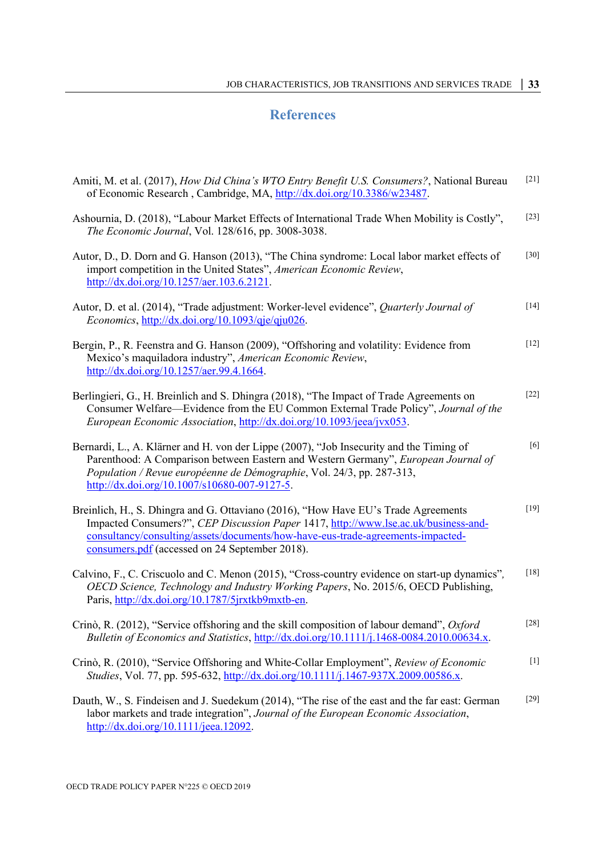# <span id="page-33-0"></span>**References**

| Amiti, M. et al. (2017), <i>How Did China's WTO Entry Benefit U.S. Consumers?</i> , National Bureau<br>of Economic Research, Cambridge, MA, http://dx.doi.org/10.3386/w23487.                                                                                                                                  | $[21]$ |
|----------------------------------------------------------------------------------------------------------------------------------------------------------------------------------------------------------------------------------------------------------------------------------------------------------------|--------|
| Ashournia, D. (2018), "Labour Market Effects of International Trade When Mobility is Costly",<br>The Economic Journal, Vol. 128/616, pp. 3008-3038.                                                                                                                                                            | $[23]$ |
| Autor, D., D. Dorn and G. Hanson (2013), "The China syndrome: Local labor market effects of<br>import competition in the United States", American Economic Review,<br>http://dx.doi.org/10.1257/aer.103.6.2121.                                                                                                | $[30]$ |
| Autor, D. et al. (2014), "Trade adjustment: Worker-level evidence", Quarterly Journal of<br><i>Economics</i> , $\frac{http://dx.doi.org/10.1093/qje/qju026}$ .                                                                                                                                                 | $[14]$ |
| Bergin, P., R. Feenstra and G. Hanson (2009), "Offshoring and volatility: Evidence from<br>Mexico's maquiladora industry", American Economic Review,                                                                                                                                                           | $[12]$ |
| Berlingieri, G., H. Breinlich and S. Dhingra (2018), "The Impact of Trade Agreements on<br>Consumer Welfare—Evidence from the EU Common External Trade Policy", Journal of the<br>European Economic Association, http://dx.doi.org/10.1093/jeea/jvx053.                                                        | $[22]$ |
| Bernardi, L., A. Klärner and H. von der Lippe (2007), "Job Insecurity and the Timing of<br>Parenthood: A Comparison between Eastern and Western Germany", European Journal of<br>Population / Revue européenne de Démographie, Vol. 24/3, pp. 287-313,<br>http://dx.doi.org/10.1007/s10680-007-9127-5.         | [6]    |
| Breinlich, H., S. Dhingra and G. Ottaviano (2016), "How Have EU's Trade Agreements<br>Impacted Consumers?", CEP Discussion Paper 1417, http://www.lse.ac.uk/business-and-<br>consultancy/consulting/assets/documents/how-have-eus-trade-agreements-impacted-<br>consumers.pdf (accessed on 24 September 2018). | $[19]$ |
| Calvino, F., C. Criscuolo and C. Menon (2015), "Cross-country evidence on start-up dynamics",<br>OECD Science, Technology and Industry Working Papers, No. 2015/6, OECD Publishing,<br>Paris, http://dx.doi.org/10.1787/5jrxtkb9mxtb-en.                                                                       | $[18]$ |
| Crinò, R. (2012), "Service offshoring and the skill composition of labour demand", Oxford<br>Bulletin of Economics and Statistics, http://dx.doi.org/10.1111/j.1468-0084.2010.00634.x.                                                                                                                         | $[28]$ |
| Crinò, R. (2010), "Service Offshoring and White-Collar Employment", Review of Economic<br>Studies, Vol. 77, pp. 595-632, http://dx.doi.org/10.1111/j.1467-937X.2009.00586.x.                                                                                                                                   | $[1]$  |
| Dauth, W., S. Findeisen and J. Suedekum (2014), "The rise of the east and the far east: German<br>labor markets and trade integration", Journal of the European Economic Association,<br>$\frac{http://dx.doi.org/10.1111/jeea.12092.}{http://dx.doi.org/10.1111/jeea.12092.}$                                 | $[29]$ |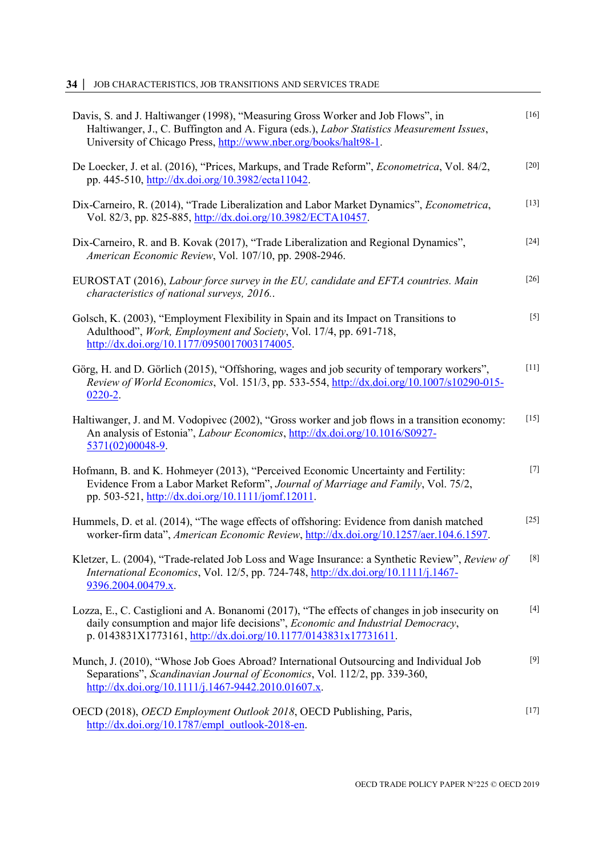| Davis, S. and J. Haltiwanger (1998), "Measuring Gross Worker and Job Flows", in<br>Haltiwanger, J., C. Buffington and A. Figura (eds.), Labor Statistics Measurement Issues,<br>University of Chicago Press, http://www.nber.org/books/halt98-1.              | $[16]$ |
|---------------------------------------------------------------------------------------------------------------------------------------------------------------------------------------------------------------------------------------------------------------|--------|
| De Loecker, J. et al. (2016), "Prices, Markups, and Trade Reform", <i>Econometrica</i> , Vol. 84/2,<br>pp. 445-510, http://dx.doi.org/10.3982/ecta11042.                                                                                                      | $[20]$ |
| Dix-Carneiro, R. (2014), "Trade Liberalization and Labor Market Dynamics", Econometrica,<br>Vol. 82/3, pp. 825-885, http://dx.doi.org/10.3982/ECTA10457.                                                                                                      | $[13]$ |
| Dix-Carneiro, R. and B. Kovak (2017), "Trade Liberalization and Regional Dynamics",<br>American Economic Review, Vol. 107/10, pp. 2908-2946.                                                                                                                  | $[24]$ |
| EUROSTAT (2016), Labour force survey in the EU, candidate and EFTA countries. Main<br>characteristics of national surveys, 2016                                                                                                                               | $[26]$ |
| Golsch, K. (2003), "Employment Flexibility in Spain and its Impact on Transitions to<br>Adulthood", Work, Employment and Society, Vol. 17/4, pp. 691-718,<br>$\frac{http://dx.doi.org/10.1177/0950017003174005}{http://dx.doi.org/10.1177/0950017003174005}.$ | $[5]$  |
| Görg, H. and D. Görlich (2015), "Offshoring, wages and job security of temporary workers",<br>Review of World Economics, Vol. 151/3, pp. 533-554, http://dx.doi.org/10.1007/s10290-015-<br>$0220 - 2$ .                                                       | $[11]$ |
| Haltiwanger, J. and M. Vodopivec (2002), "Gross worker and job flows in a transition economy:<br>An analysis of Estonia", Labour Economics, http://dx.doi.org/10.1016/S0927-<br>5371(02)00048-9.                                                              | $[15]$ |
| Hofmann, B. and K. Hohmeyer (2013), "Perceived Economic Uncertainty and Fertility:<br>Evidence From a Labor Market Reform", Journal of Marriage and Family, Vol. 75/2,<br>pp. 503-521, http://dx.doi.org/10.1111/jomf.12011.                                  | $[7]$  |
| Hummels, D. et al. (2014), "The wage effects of offshoring: Evidence from danish matched<br>worker-firm data", American Economic Review, http://dx.doi.org/10.1257/aer.104.6.1597.                                                                            | $[25]$ |
| Kletzer, L. (2004), "Trade-related Job Loss and Wage Insurance: a Synthetic Review", Review of<br>International Economics, Vol. 12/5, pp. 724-748, http://dx.doi.org/10.1111/j.1467-<br>9396.2004.00479.x.                                                    | [8]    |
| Lozza, E., C. Castiglioni and A. Bonanomi (2017), "The effects of changes in job insecurity on<br>daily consumption and major life decisions", Economic and Industrial Democracy,<br>p. 0143831X1773161, http://dx.doi.org/10.1177/0143831x17731611.          | $[4]$  |
| Munch, J. (2010), "Whose Job Goes Abroad? International Outsourcing and Individual Job<br>Separations", Scandinavian Journal of Economics, Vol. 112/2, pp. 339-360,<br>http://dx.doi.org/10.1111/j.1467-9442.2010.01607.x.                                    | $[9]$  |
| OECD (2018), OECD Employment Outlook 2018, OECD Publishing, Paris,<br>$\frac{http://dx.doi.org/10.1787/empl outlook-2018-en.}{http://dx.doi.org/10.1787/empl outlook-2018-en.}$                                                                               | $[17]$ |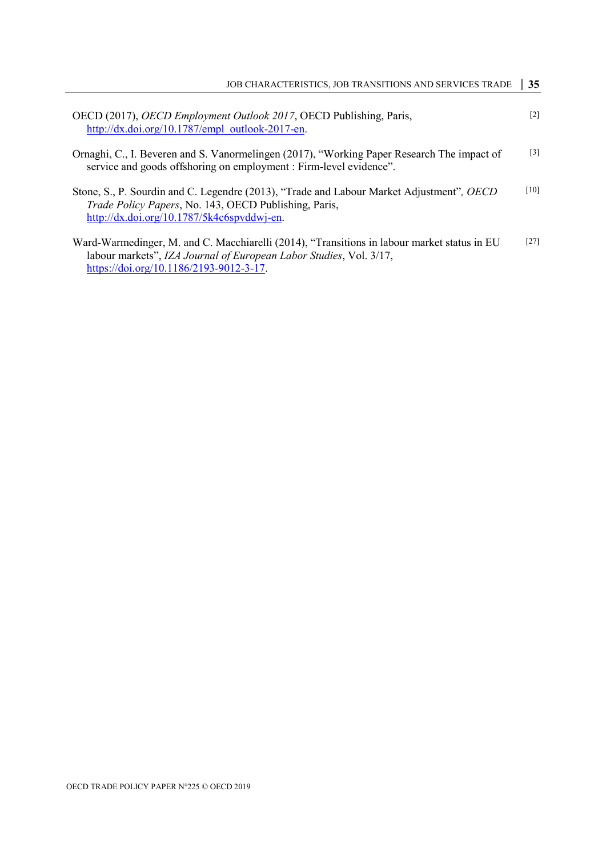| OECD (2017), OECD Employment Outlook 2017, OECD Publishing, Paris,<br>http://dx.doi.org/10.1787/empl outlook-2017-en.                                                                                        | $\lceil 2 \rceil$ |
|--------------------------------------------------------------------------------------------------------------------------------------------------------------------------------------------------------------|-------------------|
| Ornaghi, C., I. Beveren and S. Vanormelingen (2017), "Working Paper Research The impact of<br>service and goods offshoring on employment : Firm-level evidence".                                             | $[3]$             |
| Stone, S., P. Sourdin and C. Legendre (2013), "Trade and Labour Market Adjustment", <i>OECD</i><br>Trade Policy Papers, No. 143, OECD Publishing, Paris,<br>http://dx.doi.org/10.1787/5k4c6spvddwj-en.       | [10]              |
| Ward-Warmedinger, M. and C. Macchiarelli (2014), "Transitions in labour market status in EU<br>labour markets", IZA Journal of European Labor Studies, Vol. 3/17,<br>https://doi.org/10.1186/2193-9012-3-17. | $[27]$            |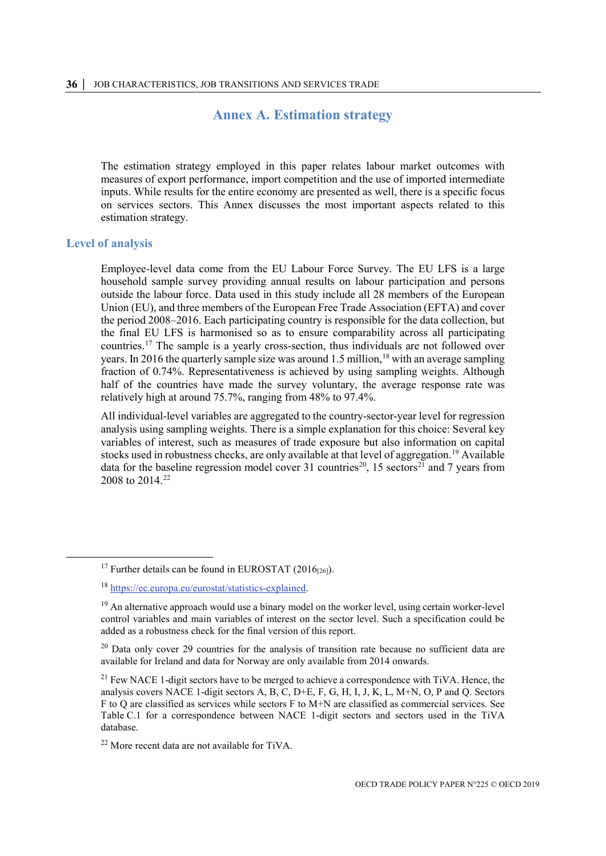# **Annex A. Estimation strategy**

<span id="page-36-0"></span>The estimation strategy employed in this paper relates labour market outcomes with measures of export performance, import competition and the use of imported intermediate inputs. While results for the entire economy are presented as well, there is a specific focus on services sectors. This Annex discusses the most important aspects related to this estimation strategy.

#### <span id="page-36-1"></span>**Level of analysis**

Employee-level data come from the EU Labour Force Survey. The EU LFS is a large household sample survey providing annual results on labour participation and persons outside the labour force. Data used in this study include all 28 members of the European Union (EU), and three members of the European Free Trade Association (EFTA) and cover the period 2008–2016. Each participating country is responsible for the data collection, but the final EU LFS is harmonised so as to ensure comparability across all participating countries.[17](#page-36-2) The sample is a yearly cross-section, thus individuals are not followed over years. In 2016 the quarterly sample size was around 1.5 million,<sup>[18](#page-36-3)</sup> with an average sampling fraction of 0.74%. Representativeness is achieved by using sampling weights. Although half of the countries have made the survey voluntary, the average response rate was relatively high at around 75.7%, ranging from 48% to 97.4%.

All individual-level variables are aggregated to the country-sector-year level for regression analysis using sampling weights. There is a simple explanation for this choice: Several key variables of interest, such as measures of trade exposure but also information on capital stocks used in robustness checks, are only available at that level of aggregation.<sup>[19](#page-36-4)</sup> Available data for the baseline regression model cover 31 countries<sup>[20](#page-36-5)</sup>, 15 sectors<sup>[21](#page-36-6)</sup> and 7 years from 2008 to 2014<sup>22</sup>

<span id="page-36-2"></span><sup>&</sup>lt;sup>17</sup> Further details can be found in EUROSTAT (2016<sub>[26]</sub>).

<span id="page-36-3"></span><sup>18</sup> [https://ec.europa.eu/eurostat/statistics-explained.](https://ec.europa.eu/eurostat/statistics-explained)

<span id="page-36-4"></span> $19$  An alternative approach would use a binary model on the worker level, using certain worker-level control variables and main variables of interest on the sector level. Such a specification could be added as a robustness check for the final version of this report.

<span id="page-36-5"></span> $20$  Data only cover 29 countries for the analysis of transition rate because no sufficient data are available for Ireland and data for Norway are only available from 2014 onwards.

<span id="page-36-6"></span><sup>&</sup>lt;sup>21</sup> Few NACE 1-digit sectors have to be merged to achieve a correspondence with TiVA. Hence, the analysis covers NACE 1-digit sectors A, B, C, D+E, F, G, H, I, J, K, L, M+N, O, P and Q. Sectors F to Q are classified as services while sectors F to M+N are classified as commercial services. See [Table](#page-44-1) C.1 for a correspondence between NACE 1-digit sectors and sectors used in the TiVA database.

<span id="page-36-7"></span> $22$  More recent data are not available for TiVA.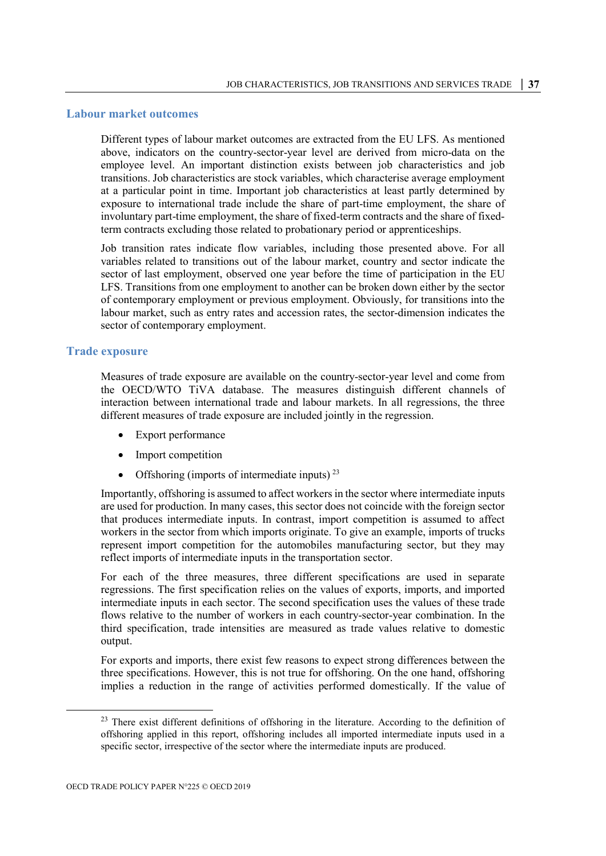#### <span id="page-37-0"></span>**Labour market outcomes**

Different types of labour market outcomes are extracted from the EU LFS. As mentioned above, indicators on the country-sector-year level are derived from micro-data on the employee level. An important distinction exists between job characteristics and job transitions. Job characteristics are stock variables, which characterise average employment at a particular point in time. Important job characteristics at least partly determined by exposure to international trade include the share of part-time employment, the share of involuntary part-time employment, the share of fixed-term contracts and the share of fixedterm contracts excluding those related to probationary period or apprenticeships.

Job transition rates indicate flow variables, including those presented above. For all variables related to transitions out of the labour market, country and sector indicate the sector of last employment, observed one year before the time of participation in the EU LFS. Transitions from one employment to another can be broken down either by the sector of contemporary employment or previous employment. Obviously, for transitions into the labour market, such as entry rates and accession rates, the sector-dimension indicates the sector of contemporary employment.

#### <span id="page-37-1"></span>**Trade exposure**

Measures of trade exposure are available on the country-sector-year level and come from the OECD/WTO TiVA database. The measures distinguish different channels of interaction between international trade and labour markets. In all regressions, the three different measures of trade exposure are included jointly in the regression.

- Export performance
- Import competition
- Offshoring (imports of intermediate inputs)<sup>[23](#page-37-2)</sup>

Importantly, offshoring is assumed to affect workers in the sector where intermediate inputs are used for production. In many cases, this sector does not coincide with the foreign sector that produces intermediate inputs. In contrast, import competition is assumed to affect workers in the sector from which imports originate. To give an example, imports of trucks represent import competition for the automobiles manufacturing sector, but they may reflect imports of intermediate inputs in the transportation sector.

For each of the three measures, three different specifications are used in separate regressions. The first specification relies on the values of exports, imports, and imported intermediate inputs in each sector. The second specification uses the values of these trade flows relative to the number of workers in each country-sector-year combination. In the third specification, trade intensities are measured as trade values relative to domestic output.

For exports and imports, there exist few reasons to expect strong differences between the three specifications. However, this is not true for offshoring. On the one hand, offshoring implies a reduction in the range of activities performed domestically. If the value of

<span id="page-37-2"></span><sup>&</sup>lt;sup>23</sup> There exist different definitions of offshoring in the literature. According to the definition of offshoring applied in this report, offshoring includes all imported intermediate inputs used in a specific sector, irrespective of the sector where the intermediate inputs are produced.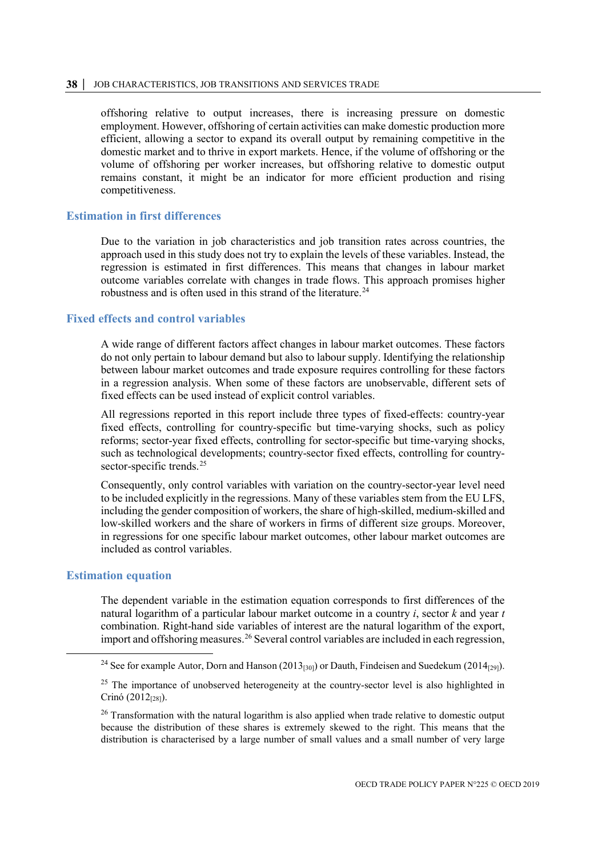#### **38 │** JOB CHARACTERISTICS, JOB TRANSITIONS AND SERVICES TRADE

offshoring relative to output increases, there is increasing pressure on domestic employment. However, offshoring of certain activities can make domestic production more efficient, allowing a sector to expand its overall output by remaining competitive in the domestic market and to thrive in export markets. Hence, if the volume of offshoring or the volume of offshoring per worker increases, but offshoring relative to domestic output remains constant, it might be an indicator for more efficient production and rising competitiveness.

#### <span id="page-38-0"></span>**Estimation in first differences**

Due to the variation in job characteristics and job transition rates across countries, the approach used in this study does not try to explain the levels of these variables. Instead, the regression is estimated in first differences. This means that changes in labour market outcome variables correlate with changes in trade flows. This approach promises higher robustness and is often used in this strand of the literature.<sup>[24](#page-38-3)</sup>

#### <span id="page-38-1"></span>**Fixed effects and control variables**

A wide range of different factors affect changes in labour market outcomes. These factors do not only pertain to labour demand but also to labour supply. Identifying the relationship between labour market outcomes and trade exposure requires controlling for these factors in a regression analysis. When some of these factors are unobservable, different sets of fixed effects can be used instead of explicit control variables.

All regressions reported in this report include three types of fixed-effects: country-year fixed effects, controlling for country-specific but time-varying shocks, such as policy reforms; sector-year fixed effects, controlling for sector-specific but time-varying shocks, such as technological developments; country-sector fixed effects, controlling for countrysector-specific trends. [25](#page-38-4)

Consequently, only control variables with variation on the country-sector-year level need to be included explicitly in the regressions. Many of these variables stem from the EU LFS, including the gender composition of workers, the share of high-skilled, medium-skilled and low-skilled workers and the share of workers in firms of different size groups. Moreover, in regressions for one specific labour market outcomes, other labour market outcomes are included as control variables.

#### <span id="page-38-2"></span>**Estimation equation**

The dependent variable in the estimation equation corresponds to first differences of the natural logarithm of a particular labour market outcome in a country *i*, sector *k* and year *t* combination. Right-hand side variables of interest are the natural logarithm of the export, import and offshoring measures.<sup>[26](#page-38-5)</sup> Several control variables are included in each regression,

<span id="page-38-3"></span><sup>&</sup>lt;sup>24</sup> See for example Autor, Dorn and Hanson (2013<sub>[30]</sub>) or Dauth, Findeisen and Suedekum (2014<sub>[29]</sub>).

<span id="page-38-4"></span> $25$  The importance of unobserved heterogeneity at the country-sector level is also highlighted in Crinó (2012<sub>[28]</sub>).

<span id="page-38-5"></span><sup>&</sup>lt;sup>26</sup> Transformation with the natural logarithm is also applied when trade relative to domestic output because the distribution of these shares is extremely skewed to the right. This means that the distribution is characterised by a large number of small values and a small number of very large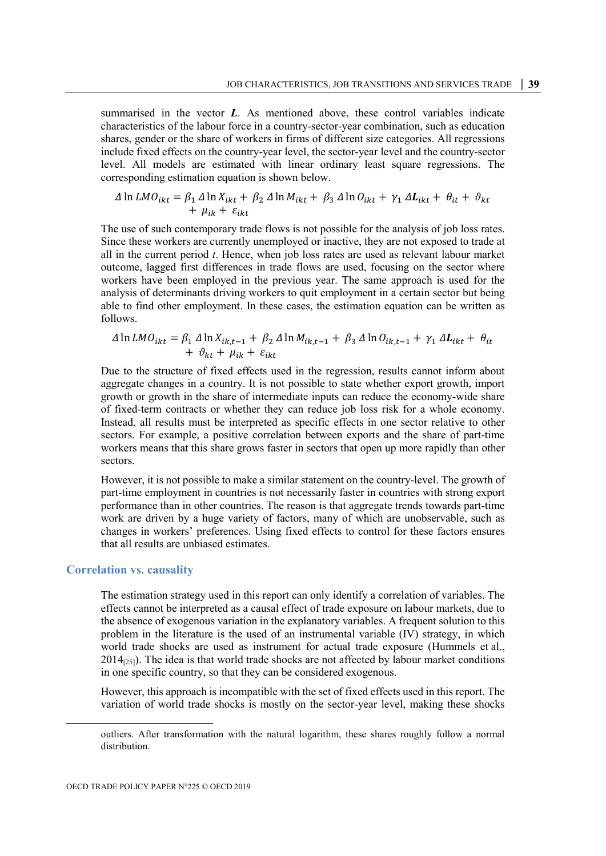summarised in the vector *L*. As mentioned above, these control variables indicate characteristics of the labour force in a country-sector-year combination, such as education shares, gender or the share of workers in firms of different size categories. All regressions include fixed effects on the country-year level, the sector-year level and the country-sector level. All models are estimated with linear ordinary least square regressions. The corresponding estimation equation is shown below.

$$
\Delta \ln LMO_{ikt} = \beta_1 \Delta \ln X_{ikt} + \beta_2 \Delta \ln M_{ikt} + \beta_3 \Delta \ln O_{ikt} + \gamma_1 \Delta L_{ikt} + \theta_{it} + \vartheta_{kt}
$$
  
+  $\mu_{ik} + \varepsilon_{ikt}$ 

The use of such contemporary trade flows is not possible for the analysis of job loss rates. Since these workers are currently unemployed or inactive, they are not exposed to trade at all in the current period *t*. Hence, when job loss rates are used as relevant labour market outcome, lagged first differences in trade flows are used, focusing on the sector where workers have been employed in the previous year. The same approach is used for the analysis of determinants driving workers to quit employment in a certain sector but being able to find other employment. In these cases, the estimation equation can be written as follows.

$$
\Delta \ln LMO_{ikt} = \beta_1 \Delta \ln X_{ik,t-1} + \beta_2 \Delta \ln M_{ik,t-1} + \beta_3 \Delta \ln O_{ik,t-1} + \gamma_1 \Delta L_{ikt} + \theta_{it}
$$
  
+  $\vartheta_{kt} + \mu_{ik} + \varepsilon_{ikt}$ 

Due to the structure of fixed effects used in the regression, results cannot inform about aggregate changes in a country. It is not possible to state whether export growth, import growth or growth in the share of intermediate inputs can reduce the economy-wide share of fixed-term contracts or whether they can reduce job loss risk for a whole economy. Instead, all results must be interpreted as specific effects in one sector relative to other sectors. For example, a positive correlation between exports and the share of part-time workers means that this share grows faster in sectors that open up more rapidly than other sectors.

However, it is not possible to make a similar statement on the country-level. The growth of part-time employment in countries is not necessarily faster in countries with strong export performance than in other countries. The reason is that aggregate trends towards part-time work are driven by a huge variety of factors, many of which are unobservable, such as changes in workers' preferences. Using fixed effects to control for these factors ensures that all results are unbiased estimates.

#### <span id="page-39-0"></span>**Correlation vs. causality**

 $\overline{a}$ 

The estimation strategy used in this report can only identify a correlation of variables. The effects cannot be interpreted as a causal effect of trade exposure on labour markets, due to the absence of exogenous variation in the explanatory variables. A frequent solution to this problem in the literature is the used of an instrumental variable (IV) strategy, in which world trade shocks are used as instrument for actual trade exposure (Hummels et al.,  $2014_{[25]}$ ). The idea is that world trade shocks are not affected by labour market conditions in one specific country, so that they can be considered exogenous.

However, this approach is incompatible with the set of fixed effects used in this report. The variation of world trade shocks is mostly on the sector-year level, making these shocks

outliers. After transformation with the natural logarithm, these shares roughly follow a normal distribution.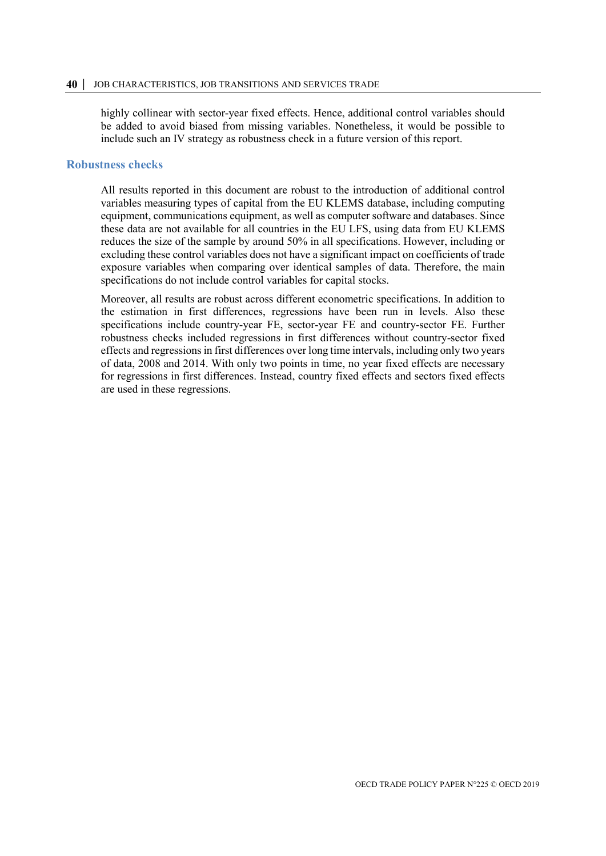highly collinear with sector-year fixed effects. Hence, additional control variables should be added to avoid biased from missing variables. Nonetheless, it would be possible to include such an IV strategy as robustness check in a future version of this report.

#### <span id="page-40-0"></span>**Robustness checks**

All results reported in this document are robust to the introduction of additional control variables measuring types of capital from the EU KLEMS database, including computing equipment, communications equipment, as well as computer software and databases. Since these data are not available for all countries in the EU LFS, using data from EU KLEMS reduces the size of the sample by around 50% in all specifications. However, including or excluding these control variables does not have a significant impact on coefficients of trade exposure variables when comparing over identical samples of data. Therefore, the main specifications do not include control variables for capital stocks.

Moreover, all results are robust across different econometric specifications. In addition to the estimation in first differences, regressions have been run in levels. Also these specifications include country-year FE, sector-year FE and country-sector FE. Further robustness checks included regressions in first differences without country-sector fixed effects and regressions in first differences over long time intervals, including only two years of data, 2008 and 2014. With only two points in time, no year fixed effects are necessary for regressions in first differences. Instead, country fixed effects and sectors fixed effects are used in these regressions.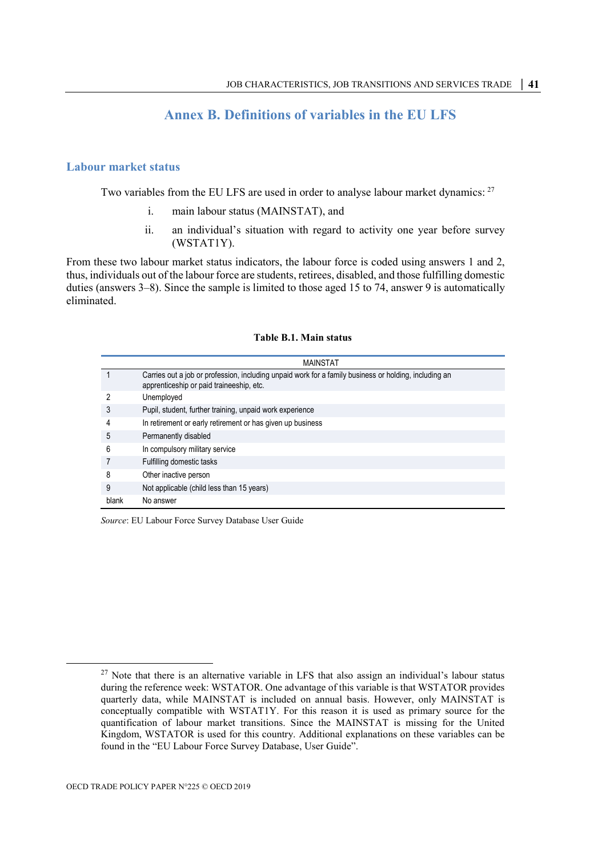# **Annex B. Definitions of variables in the EU LFS**

### <span id="page-41-1"></span><span id="page-41-0"></span>**Labour market status**

Two variables from the EU LFS are used in order to analyse labour market dynamics: <sup>[27](#page-41-2)</sup>

- i. main labour status (MAINSTAT), and
- ii. an individual's situation with regard to activity one year before survey (WSTAT1Y).

From these two labour market status indicators, the labour force is coded using answers 1 and 2, thus, individuals out of the labour force are students, retirees, disabled, and those fulfilling domestic duties (answers 3–8). Since the sample is limited to those aged 15 to 74, answer 9 is automatically eliminated.

#### **Table B.1. Main status**

|       | <b>MAINSTAT</b>                                                                                                                                   |
|-------|---------------------------------------------------------------------------------------------------------------------------------------------------|
|       | Carries out a job or profession, including unpaid work for a family business or holding, including an<br>apprenticeship or paid traineeship, etc. |
|       | Unemployed                                                                                                                                        |
| 3     | Pupil, student, further training, unpaid work experience                                                                                          |
|       | In retirement or early retirement or has given up business                                                                                        |
| 5     | Permanently disabled                                                                                                                              |
| 6     | In compulsory military service                                                                                                                    |
|       | Fulfilling domestic tasks                                                                                                                         |
| 8     | Other inactive person                                                                                                                             |
| 9     | Not applicable (child less than 15 years)                                                                                                         |
| blank | No answer                                                                                                                                         |

*Source*: EU Labour Force Survey Database User Guide

<span id="page-41-2"></span> $27$  Note that there is an alternative variable in LFS that also assign an individual's labour status during the reference week: WSTATOR. One advantage of this variable is that WSTATOR provides quarterly data, while MAINSTAT is included on annual basis. However, only MAINSTAT is conceptually compatible with WSTAT1Y. For this reason it is used as primary source for the quantification of labour market transitions. Since the MAINSTAT is missing for the United Kingdom, WSTATOR is used for this country. Additional explanations on these variables can be found in the "EU Labour Force Survey Database, User Guide".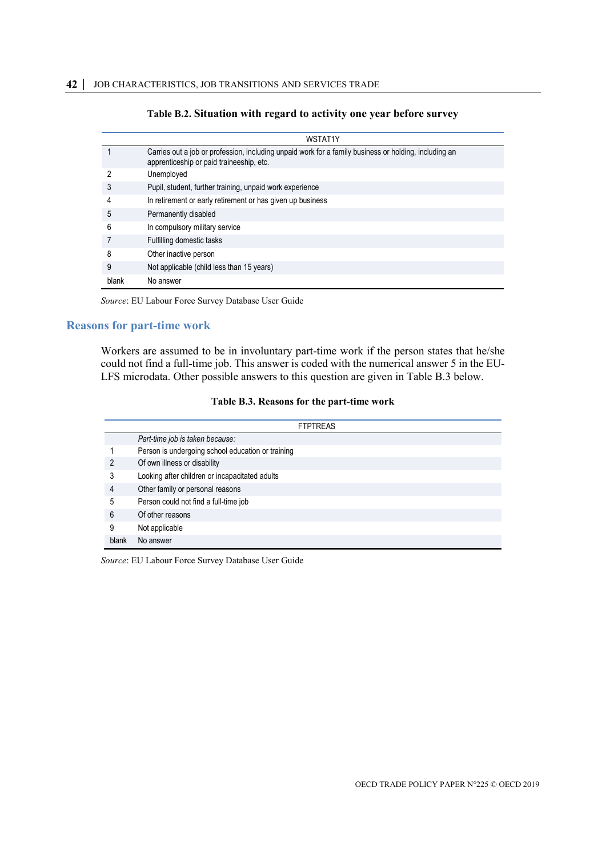#### **Table B.2. Situation with regard to activity one year before survey**

|       | WSTAT1Y                                                                                                                                           |
|-------|---------------------------------------------------------------------------------------------------------------------------------------------------|
|       | Carries out a job or profession, including unpaid work for a family business or holding, including an<br>apprenticeship or paid traineeship, etc. |
|       | Unemployed                                                                                                                                        |
|       | Pupil, student, further training, unpaid work experience                                                                                          |
| 4     | In retirement or early retirement or has given up business                                                                                        |
| 5     | Permanently disabled                                                                                                                              |
| 6     | In compulsory military service                                                                                                                    |
|       | Fulfilling domestic tasks                                                                                                                         |
| 8     | Other inactive person                                                                                                                             |
| 9     | Not applicable (child less than 15 years)                                                                                                         |
| blank | No answer                                                                                                                                         |

*Source*: EU Labour Force Survey Database User Guide

#### <span id="page-42-0"></span>**Reasons for part-time work**

Workers are assumed to be in involuntary part-time work if the person states that he/she could not find a full-time job. This answer is coded with the numerical answer 5 in the EU-LFS microdata. Other possible answers to this question are given in [Table](#page-42-1) B.3 below.

#### **Table B.3. Reasons for the part-time work**

<span id="page-42-1"></span>

|       | <b>FTPTREAS</b>                                   |  |
|-------|---------------------------------------------------|--|
|       | Part-time job is taken because:                   |  |
|       | Person is undergoing school education or training |  |
| 2     | Of own illness or disability                      |  |
| 3     | Looking after children or incapacitated adults    |  |
| 4     | Other family or personal reasons                  |  |
| 5     | Person could not find a full-time job             |  |
| 6     | Of other reasons                                  |  |
| 9     | Not applicable                                    |  |
| blank | No answer                                         |  |

*Source*: EU Labour Force Survey Database User Guide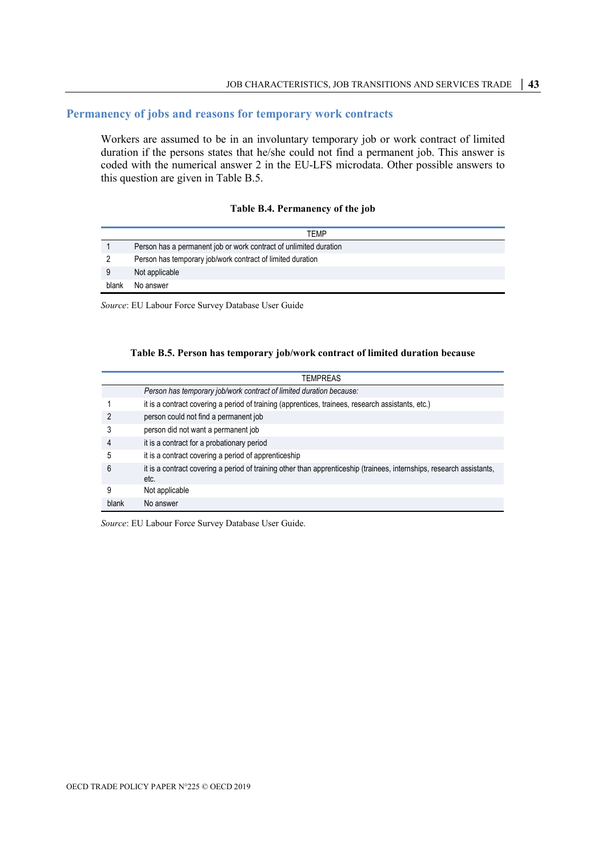### <span id="page-43-0"></span>**Permanency of jobs and reasons for temporary work contracts**

Workers are assumed to be in an involuntary temporary job or work contract of limited duration if the persons states that he/she could not find a permanent job. This answer is coded with the numerical answer 2 in the EU-LFS microdata. Other possible answers to this question are given in [Table](#page-43-1) B.5.

#### **Table B.4. Permanency of the job**

|       | TEMP                                                              |
|-------|-------------------------------------------------------------------|
|       | Person has a permanent job or work contract of unlimited duration |
|       | Person has temporary job/work contract of limited duration        |
|       | Not applicable                                                    |
| blank | No answer                                                         |

<span id="page-43-1"></span>*Source*: EU Labour Force Survey Database User Guide

#### **Table B.5. Person has temporary job/work contract of limited duration because**

|       | <b>TEMPREAS</b>                                                                                                               |
|-------|-------------------------------------------------------------------------------------------------------------------------------|
|       | Person has temporary job/work contract of limited duration because:                                                           |
|       | it is a contract covering a period of training (apprentices, trainees, research assistants, etc.)                             |
|       | person could not find a permanent job                                                                                         |
|       | person did not want a permanent job                                                                                           |
|       | it is a contract for a probationary period                                                                                    |
| 5     | it is a contract covering a period of apprenticeship                                                                          |
| 6     | it is a contract covering a period of training other than apprenticeship (trainees, internships, research assistants,<br>etc. |
| 9     | Not applicable                                                                                                                |
| hlank | No answer                                                                                                                     |

*Source*: EU Labour Force Survey Database User Guide.